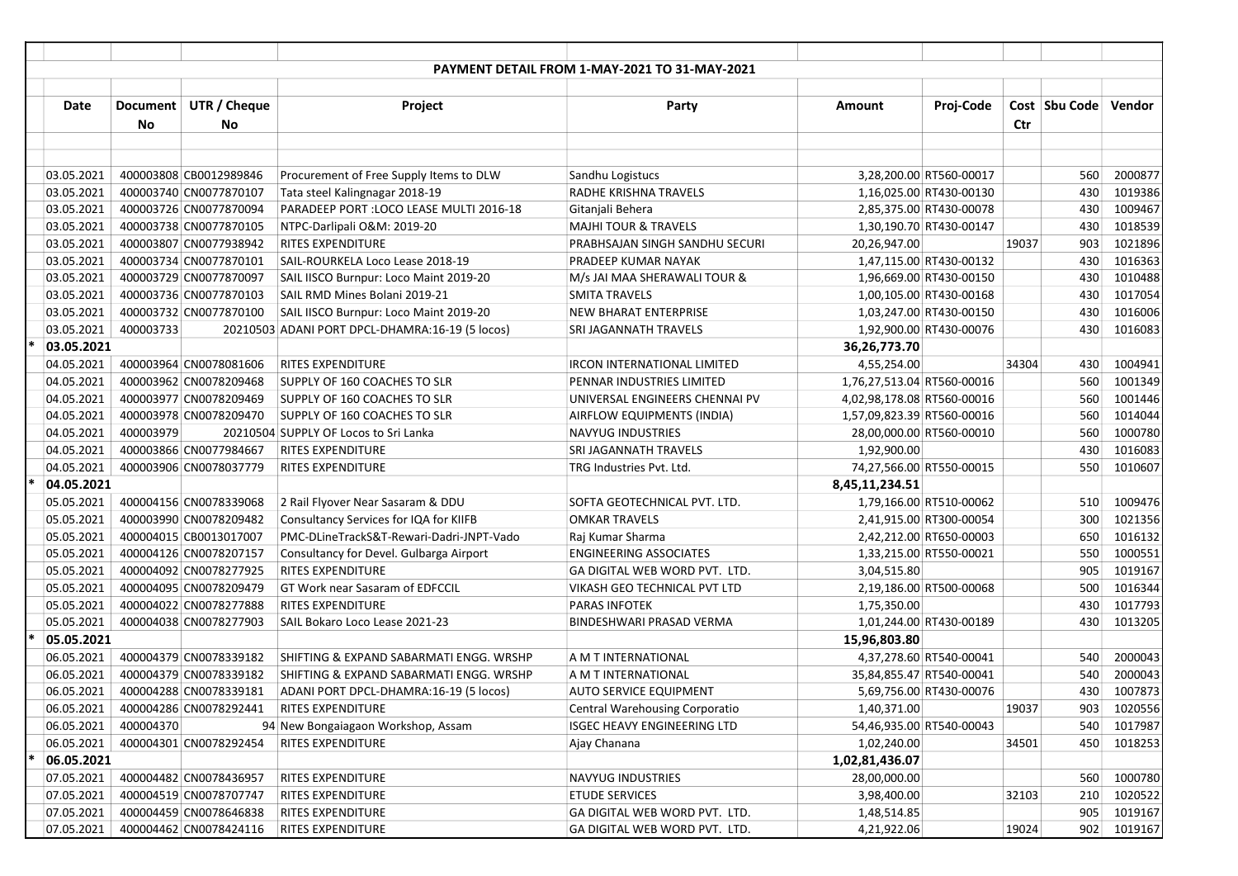|   |             |           |                        |                                                 | <b>PAYMENT DETAIL FROM 1-MAY-2021 TO 31-MAY-2021</b> |                            |                          |       |                 |         |
|---|-------------|-----------|------------------------|-------------------------------------------------|------------------------------------------------------|----------------------------|--------------------------|-------|-----------------|---------|
|   |             |           |                        |                                                 |                                                      |                            |                          |       |                 |         |
|   | <b>Date</b> | Document  | UTR / Cheque           | Project                                         | Party                                                | Amount                     | Proj-Code                |       | Cost   Sbu Code | Vendor  |
|   |             | No        | No                     |                                                 |                                                      |                            |                          | Ctr   |                 |         |
|   |             |           |                        |                                                 |                                                      |                            |                          |       |                 |         |
|   |             |           |                        |                                                 |                                                      |                            |                          |       |                 |         |
|   | 03.05.2021  |           | 400003808 CB0012989846 | Procurement of Free Supply Items to DLW         | Sandhu Logistucs                                     |                            | 3,28,200.00 RT560-00017  |       | 560             | 2000877 |
|   | 03.05.2021  |           | 400003740 CN0077870107 | Tata steel Kalingnagar 2018-19                  | RADHE KRISHNA TRAVELS                                |                            | 1,16,025.00 RT430-00130  |       | 430             | 1019386 |
|   | 03.05.2021  |           | 400003726 CN0077870094 | PARADEEP PORT : LOCO LEASE MULTI 2016-18        | Gitanjali Behera                                     |                            | 2,85,375.00 RT430-00078  |       | 430             | 1009467 |
|   | 03.05.2021  |           | 400003738 CN0077870105 | NTPC-Darlipali O&M: 2019-20                     | <b>MAJHI TOUR &amp; TRAVELS</b>                      |                            | 1,30,190.70 RT430-00147  |       | 430             | 1018539 |
|   | 03.05.2021  |           | 400003807 CN0077938942 | <b>RITES EXPENDITURE</b>                        | PRABHSAJAN SINGH SANDHU SECURI                       | 20,26,947.00               |                          | 19037 | 903             | 1021896 |
|   | 03.05.2021  |           | 400003734 CN0077870101 | SAIL-ROURKELA Loco Lease 2018-19                | PRADEEP KUMAR NAYAK                                  |                            | 1,47,115.00 RT430-00132  |       | 430             | 1016363 |
|   | 03.05.2021  |           | 400003729 CN0077870097 | SAIL IISCO Burnpur: Loco Maint 2019-20          | M/s JAI MAA SHERAWALI TOUR &                         |                            | 1,96,669.00 RT430-00150  |       | 430             | 1010488 |
|   | 03.05.2021  |           | 400003736 CN0077870103 | SAIL RMD Mines Bolani 2019-21                   | <b>SMITA TRAVELS</b>                                 |                            | 1,00,105.00 RT430-00168  |       | 430             | 1017054 |
|   | 03.05.2021  |           | 400003732 CN0077870100 | SAIL IISCO Burnpur: Loco Maint 2019-20          | <b>NEW BHARAT ENTERPRISE</b>                         |                            | 1,03,247.00 RT430-00150  |       | 430             | 1016006 |
|   | 03.05.2021  | 400003733 |                        | 20210503 ADANI PORT DPCL-DHAMRA:16-19 (5 locos) | SRI JAGANNATH TRAVELS                                |                            | 1,92,900.00 RT430-00076  |       | 430             | 1016083 |
| ÷ | 03.05.2021  |           |                        |                                                 |                                                      | 36,26,773.70               |                          |       |                 |         |
|   | 04.05.2021  |           | 400003964 CN0078081606 | RITES EXPENDITURE                               | <b>IRCON INTERNATIONAL LIMITED</b>                   | 4,55,254.00                |                          | 34304 | 430             | 1004941 |
|   | 04.05.2021  |           | 400003962 CN0078209468 | SUPPLY OF 160 COACHES TO SLR                    | PENNAR INDUSTRIES LIMITED                            | 1,76,27,513.04 RT560-00016 |                          |       | 560             | 1001349 |
|   | 04.05.2021  |           | 400003977 CN0078209469 | SUPPLY OF 160 COACHES TO SLR                    | UNIVERSAL ENGINEERS CHENNAI PV                       | 4,02,98,178.08 RT560-00016 |                          |       | 560             | 1001446 |
|   | 04.05.2021  |           | 400003978 CN0078209470 | SUPPLY OF 160 COACHES TO SLR                    | AIRFLOW EQUIPMENTS (INDIA)                           | 1,57,09,823.39 RT560-00016 |                          |       | 560             | 1014044 |
|   | 04.05.2021  | 400003979 |                        | 20210504 SUPPLY OF Locos to Sri Lanka           | <b>NAVYUG INDUSTRIES</b>                             |                            | 28,00,000.00 RT560-00010 |       | 560             | 1000780 |
|   | 04.05.2021  |           | 400003866 CN0077984667 | <b>RITES EXPENDITURE</b>                        | SRI JAGANNATH TRAVELS                                | 1,92,900.00                |                          |       | 430             | 1016083 |
|   | 04.05.2021  |           | 400003906 CN0078037779 | RITES EXPENDITURE                               | TRG Industries Pvt. Ltd.                             |                            | 74,27,566.00 RT550-00015 |       | 550             | 1010607 |
|   | 04.05.2021  |           |                        |                                                 |                                                      | 8,45,11,234.51             |                          |       |                 |         |
|   | 05.05.2021  |           | 400004156 CN0078339068 | 2 Rail Flyover Near Sasaram & DDU               | SOFTA GEOTECHNICAL PVT. LTD.                         |                            | 1,79,166.00 RT510-00062  |       | 510             | 1009476 |
|   | 05.05.2021  |           | 400003990 CN0078209482 | Consultancy Services for IQA for KIIFB          | <b>OMKAR TRAVELS</b>                                 |                            | 2,41,915.00 RT300-00054  |       | 300             | 1021356 |
|   | 05.05.2021  |           | 400004015 CB0013017007 | PMC-DLineTrackS&T-Rewari-Dadri-JNPT-Vado        | Raj Kumar Sharma                                     |                            | 2,42,212.00 RT650-00003  |       | 650             | 1016132 |
|   | 05.05.2021  |           | 400004126 CN0078207157 | Consultancy for Devel. Gulbarga Airport         | <b>ENGINEERING ASSOCIATES</b>                        |                            | 1,33,215.00 RT550-00021  |       | 550             | 1000551 |
|   | 05.05.2021  |           | 400004092 CN0078277925 | <b>RITES EXPENDITURE</b>                        | GA DIGITAL WEB WORD PVT. LTD.                        | 3,04,515.80                |                          |       | 905             | 1019167 |
|   | 05.05.2021  |           | 400004095 CN0078209479 | GT Work near Sasaram of EDFCCIL                 | VIKASH GEO TECHNICAL PVT LTD                         |                            | 2,19,186.00 RT500-00068  |       | 500             | 1016344 |
|   | 05.05.2021  |           | 400004022 CN0078277888 | <b>RITES EXPENDITURE</b>                        | PARAS INFOTEK                                        | 1,75,350.00                |                          |       | 430             | 1017793 |
|   | 05.05.2021  |           | 400004038 CN0078277903 | SAIL Bokaro Loco Lease 2021-23                  | <b>BINDESHWARI PRASAD VERMA</b>                      |                            | 1,01,244.00 RT430-00189  |       | 430             | 1013205 |
|   | 05.05.2021  |           |                        |                                                 |                                                      | 15,96,803.80               |                          |       |                 |         |
|   | 06.05.2021  |           | 400004379 CN0078339182 | SHIFTING & EXPAND SABARMATI ENGG. WRSHP         | A M T INTERNATIONAL                                  |                            | 4,37,278.60 RT540-00041  |       | 540             | 2000043 |
|   | 06.05.2021  |           | 400004379 CN0078339182 | SHIFTING & EXPAND SABARMATI ENGG. WRSHP         | A M T INTERNATIONAL                                  |                            | 35,84,855.47 RT540-00041 |       | 540             | 2000043 |
|   | 06.05.2021  |           | 400004288 CN0078339181 | ADANI PORT DPCL-DHAMRA:16-19 (5 locos)          | <b>AUTO SERVICE EQUIPMENT</b>                        |                            | 5,69,756.00 RT430-00076  |       | 430             | 1007873 |
|   | 06.05.2021  |           | 400004286 CN0078292441 | <b>RITES EXPENDITURE</b>                        | Central Warehousing Corporatio                       | 1,40,371.00                |                          | 19037 | 903             | 1020556 |
|   | 06.05.2021  | 400004370 |                        | 94 New Bongaiagaon Workshop, Assam              | <b>ISGEC HEAVY ENGINEERING LTD</b>                   |                            | 54,46,935.00 RT540-00043 |       | 540             | 1017987 |
|   | 06.05.2021  |           | 400004301 CN0078292454 | RITES EXPENDITURE                               | Ajay Chanana                                         | 1,02,240.00                |                          | 34501 | 450             | 1018253 |
| * | 06.05.2021  |           |                        |                                                 |                                                      | 1,02,81,436.07             |                          |       |                 |         |
|   | 07.05.2021  |           | 400004482 CN0078436957 | <b>RITES EXPENDITURE</b>                        | NAVYUG INDUSTRIES                                    | 28,00,000.00               |                          |       | 560             | 1000780 |
|   | 07.05.2021  |           | 400004519 CN0078707747 | RITES EXPENDITURE                               | <b>ETUDE SERVICES</b>                                | 3,98,400.00                |                          | 32103 | 210             | 1020522 |
|   | 07.05.2021  |           | 400004459 CN0078646838 | <b>RITES EXPENDITURE</b>                        | GA DIGITAL WEB WORD PVT. LTD.                        | 1,48,514.85                |                          |       | 905             | 1019167 |
|   | 07.05.2021  |           | 400004462 CN0078424116 | <b>RITES EXPENDITURE</b>                        | GA DIGITAL WEB WORD PVT. LTD.                        | 4,21,922.06                |                          | 19024 | 902             | 1019167 |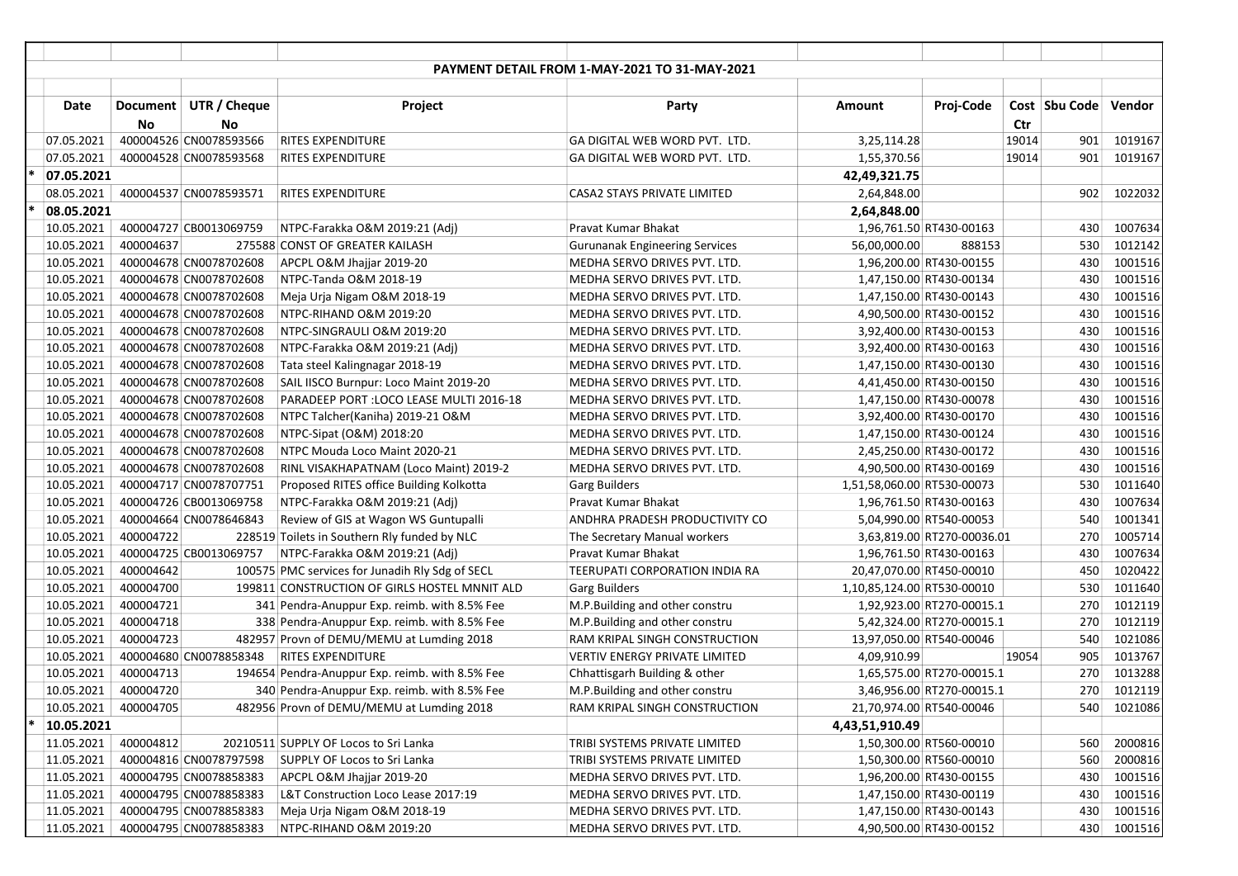| <b>PAYMENT DETAIL FROM 1-MAY-2021 TO 31-MAY-2021</b><br>UTR / Cheque<br>Proj-Code<br>Cost   Sbu Code  <br>Vendor<br>Date<br>Document<br>Project<br>Party<br>Amount<br><b>No</b><br><b>No</b><br>Ctr<br>400004526 CN0078593566<br>1019167<br>07.05.2021<br><b>RITES EXPENDITURE</b><br>GA DIGITAL WEB WORD PVT. LTD.<br>3,25,114.28<br>19014<br>901<br>19014<br>901<br>1019167<br>07.05.2021<br>400004528 CN0078593568<br>RITES EXPENDITURE<br>GA DIGITAL WEB WORD PVT. LTD.<br>1,55,370.56<br>07.05.2021<br>42,49,321.75<br>400004537 CN0078593571<br>902<br>1022032<br>08.05.2021<br><b>RITES EXPENDITURE</b><br>CASA2 STAYS PRIVATE LIMITED<br>2,64,848.00<br>08.05.2021<br>2,64,848.00<br>400004727 CB0013069759<br>1007634<br>10.05.2021<br>Pravat Kumar Bhakat<br>1,96,761.50 RT430-00163<br>430<br>NTPC-Farakka O&M 2019:21 (Adj)<br>400004637<br>1012142<br>10.05.2021<br>275588 CONST OF GREATER KAILASH<br><b>Gurunanak Engineering Services</b><br>56,00,000.00<br>888153<br>530<br>400004678 CN0078702608<br>1,96,200.00 RT430-00155<br>430<br>10.05.2021<br>APCPL O&M Jhajjar 2019-20<br>MEDHA SERVO DRIVES PVT. LTD.<br>1001516<br>1001516<br>10.05.2021<br>400004678 CN0078702608<br>430<br>NTPC-Tanda O&M 2018-19<br>MEDHA SERVO DRIVES PVT. LTD.<br>1,47,150.00 RT430-00134<br>10.05.2021<br>430<br>1001516<br>400004678 CN0078702608<br>1,47,150.00 RT430-00143<br>Meja Urja Nigam O&M 2018-19<br>MEDHA SERVO DRIVES PVT. LTD.<br>430<br>1001516<br>10.05.2021<br>400004678 CN0078702608<br>NTPC-RIHAND O&M 2019:20<br>MEDHA SERVO DRIVES PVT. LTD.<br>4,90,500.00 RT430-00152<br>430<br>1001516<br>10.05.2021<br>400004678 CN0078702608<br>NTPC-SINGRAULI O&M 2019:20<br>MEDHA SERVO DRIVES PVT. LTD.<br>3,92,400.00 RT430-00153<br>1001516<br>10.05.2021<br>400004678 CN0078702608<br>NTPC-Farakka O&M 2019:21 (Adj)<br>MEDHA SERVO DRIVES PVT. LTD.<br>3,92,400.00 RT430-00163<br>430<br>430<br>1001516<br>10.05.2021<br>400004678 CN0078702608<br>Tata steel Kalingnagar 2018-19<br>MEDHA SERVO DRIVES PVT. LTD.<br>1,47,150.00 RT430-00130<br>1001516<br>10.05.2021<br>400004678 CN0078702608<br>SAIL IISCO Burnpur: Loco Maint 2019-20<br>MEDHA SERVO DRIVES PVT. LTD.<br>4,41,450.00 RT430-00150<br>430<br>1001516<br>10.05.2021<br>400004678 CN0078702608<br>PARADEEP PORT : LOCO LEASE MULTI 2016-18<br>MEDHA SERVO DRIVES PVT. LTD.<br>1,47,150.00 RT430-00078<br>430<br>1001516<br>10.05.2021<br>400004678 CN0078702608<br>430<br>NTPC Talcher(Kaniha) 2019-21 O&M<br>MEDHA SERVO DRIVES PVT. LTD.<br>3,92,400.00 RT430-00170<br>1001516<br>10.05.2021<br>400004678 CN0078702608<br>430<br>MEDHA SERVO DRIVES PVT. LTD.<br>NTPC-Sipat (O&M) 2018:20<br>1,47,150.00 RT430-00124<br>1001516<br>10.05.2021<br>400004678 CN0078702608<br>430<br>NTPC Mouda Loco Maint 2020-21<br>MEDHA SERVO DRIVES PVT. LTD.<br>2,45,250.00 RT430-00172<br>10.05.2021<br>400004678 CN0078702608<br>1001516<br>RINL VISAKHAPATNAM (Loco Maint) 2019-2<br>MEDHA SERVO DRIVES PVT. LTD.<br>4,90,500.00 RT430-00169<br>430<br>1011640<br>10.05.2021<br>400004717 CN0078707751<br>Proposed RITES office Building Kolkotta<br><b>Garg Builders</b><br>1,51,58,060.00 RT530-00073<br>530<br>1007634<br>10.05.2021<br>400004726 CB0013069758<br>NTPC-Farakka O&M 2019:21 (Adj)<br>Pravat Kumar Bhakat<br>430<br>1,96,761.50 RT430-00163<br>1001341<br>10.05.2021<br>400004664 CN0078646843<br>Review of GIS at Wagon WS Guntupalli<br>ANDHRA PRADESH PRODUCTIVITY CO<br>540<br>5,04,990.00 RT540-00053<br>400004722<br>1005714<br>10.05.2021<br>228519 Toilets in Southern Rly funded by NLC<br>270<br>The Secretary Manual workers<br>3,63,819.00 RT270-00036.01<br>400004725 CB0013069757<br>1007634<br>10.05.2021<br>NTPC-Farakka O&M 2019:21 (Adj)<br>Pravat Kumar Bhakat<br>1,96,761.50 RT430-00163<br>430<br>1020422<br>10.05.2021<br>400004642<br>100575 PMC services for Junadih Rly Sdg of SECL<br>TEERUPATI CORPORATION INDIA RA<br>450<br>20,47,070.00 RT450-00010<br>400004700<br>530<br>1011640<br>10.05.2021<br>199811 CONSTRUCTION OF GIRLS HOSTEL MNNIT ALD<br>1,10,85,124.00 RT530-00010<br><b>Garg Builders</b><br>400004721<br>270<br>1012119<br>10.05.2021<br>341 Pendra-Anuppur Exp. reimb. with 8.5% Fee<br>M.P.Building and other constru<br>1,92,923.00 RT270-00015.1<br>1012119<br>10.05.2021<br>400004718<br>338 Pendra-Anuppur Exp. reimb. with 8.5% Fee<br>M.P.Building and other constru<br>5,42,324.00 RT270-00015.1<br>270<br>1021086<br>10.05.2021<br>400004723<br>482957 Provn of DEMU/MEMU at Lumding 2018<br>RAM KRIPAL SINGH CONSTRUCTION<br>13,97,050.00 RT540-00046<br>540 |
|-------------------------------------------------------------------------------------------------------------------------------------------------------------------------------------------------------------------------------------------------------------------------------------------------------------------------------------------------------------------------------------------------------------------------------------------------------------------------------------------------------------------------------------------------------------------------------------------------------------------------------------------------------------------------------------------------------------------------------------------------------------------------------------------------------------------------------------------------------------------------------------------------------------------------------------------------------------------------------------------------------------------------------------------------------------------------------------------------------------------------------------------------------------------------------------------------------------------------------------------------------------------------------------------------------------------------------------------------------------------------------------------------------------------------------------------------------------------------------------------------------------------------------------------------------------------------------------------------------------------------------------------------------------------------------------------------------------------------------------------------------------------------------------------------------------------------------------------------------------------------------------------------------------------------------------------------------------------------------------------------------------------------------------------------------------------------------------------------------------------------------------------------------------------------------------------------------------------------------------------------------------------------------------------------------------------------------------------------------------------------------------------------------------------------------------------------------------------------------------------------------------------------------------------------------------------------------------------------------------------------------------------------------------------------------------------------------------------------------------------------------------------------------------------------------------------------------------------------------------------------------------------------------------------------------------------------------------------------------------------------------------------------------------------------------------------------------------------------------------------------------------------------------------------------------------------------------------------------------------------------------------------------------------------------------------------------------------------------------------------------------------------------------------------------------------------------------------------------------------------------------------------------------------------------------------------------------------------------------------------------------------------------------------------------------------------------------------------------------------------------------------------------------------------------------------------------------------------------------------------------------------------------------------------------------------------------------------------------------------------------------------------------------------------------------------------------------------------------------------------------------------------------------------------------------------------------------------------------------------------------------------------------------------------------------------------------------------------------------------------------------------------------------------------------------------------------------------------------------------------------------------------------------------------------------------------------------------------------------------------|
|                                                                                                                                                                                                                                                                                                                                                                                                                                                                                                                                                                                                                                                                                                                                                                                                                                                                                                                                                                                                                                                                                                                                                                                                                                                                                                                                                                                                                                                                                                                                                                                                                                                                                                                                                                                                                                                                                                                                                                                                                                                                                                                                                                                                                                                                                                                                                                                                                                                                                                                                                                                                                                                                                                                                                                                                                                                                                                                                                                                                                                                                                                                                                                                                                                                                                                                                                                                                                                                                                                                                                                                                                                                                                                                                                                                                                                                                                                                                                                                                                                                                                                                                                                                                                                                                                                                                                                                                                                                                                                                                                                                                                   |
|                                                                                                                                                                                                                                                                                                                                                                                                                                                                                                                                                                                                                                                                                                                                                                                                                                                                                                                                                                                                                                                                                                                                                                                                                                                                                                                                                                                                                                                                                                                                                                                                                                                                                                                                                                                                                                                                                                                                                                                                                                                                                                                                                                                                                                                                                                                                                                                                                                                                                                                                                                                                                                                                                                                                                                                                                                                                                                                                                                                                                                                                                                                                                                                                                                                                                                                                                                                                                                                                                                                                                                                                                                                                                                                                                                                                                                                                                                                                                                                                                                                                                                                                                                                                                                                                                                                                                                                                                                                                                                                                                                                                                   |
|                                                                                                                                                                                                                                                                                                                                                                                                                                                                                                                                                                                                                                                                                                                                                                                                                                                                                                                                                                                                                                                                                                                                                                                                                                                                                                                                                                                                                                                                                                                                                                                                                                                                                                                                                                                                                                                                                                                                                                                                                                                                                                                                                                                                                                                                                                                                                                                                                                                                                                                                                                                                                                                                                                                                                                                                                                                                                                                                                                                                                                                                                                                                                                                                                                                                                                                                                                                                                                                                                                                                                                                                                                                                                                                                                                                                                                                                                                                                                                                                                                                                                                                                                                                                                                                                                                                                                                                                                                                                                                                                                                                                                   |
|                                                                                                                                                                                                                                                                                                                                                                                                                                                                                                                                                                                                                                                                                                                                                                                                                                                                                                                                                                                                                                                                                                                                                                                                                                                                                                                                                                                                                                                                                                                                                                                                                                                                                                                                                                                                                                                                                                                                                                                                                                                                                                                                                                                                                                                                                                                                                                                                                                                                                                                                                                                                                                                                                                                                                                                                                                                                                                                                                                                                                                                                                                                                                                                                                                                                                                                                                                                                                                                                                                                                                                                                                                                                                                                                                                                                                                                                                                                                                                                                                                                                                                                                                                                                                                                                                                                                                                                                                                                                                                                                                                                                                   |
|                                                                                                                                                                                                                                                                                                                                                                                                                                                                                                                                                                                                                                                                                                                                                                                                                                                                                                                                                                                                                                                                                                                                                                                                                                                                                                                                                                                                                                                                                                                                                                                                                                                                                                                                                                                                                                                                                                                                                                                                                                                                                                                                                                                                                                                                                                                                                                                                                                                                                                                                                                                                                                                                                                                                                                                                                                                                                                                                                                                                                                                                                                                                                                                                                                                                                                                                                                                                                                                                                                                                                                                                                                                                                                                                                                                                                                                                                                                                                                                                                                                                                                                                                                                                                                                                                                                                                                                                                                                                                                                                                                                                                   |
|                                                                                                                                                                                                                                                                                                                                                                                                                                                                                                                                                                                                                                                                                                                                                                                                                                                                                                                                                                                                                                                                                                                                                                                                                                                                                                                                                                                                                                                                                                                                                                                                                                                                                                                                                                                                                                                                                                                                                                                                                                                                                                                                                                                                                                                                                                                                                                                                                                                                                                                                                                                                                                                                                                                                                                                                                                                                                                                                                                                                                                                                                                                                                                                                                                                                                                                                                                                                                                                                                                                                                                                                                                                                                                                                                                                                                                                                                                                                                                                                                                                                                                                                                                                                                                                                                                                                                                                                                                                                                                                                                                                                                   |
|                                                                                                                                                                                                                                                                                                                                                                                                                                                                                                                                                                                                                                                                                                                                                                                                                                                                                                                                                                                                                                                                                                                                                                                                                                                                                                                                                                                                                                                                                                                                                                                                                                                                                                                                                                                                                                                                                                                                                                                                                                                                                                                                                                                                                                                                                                                                                                                                                                                                                                                                                                                                                                                                                                                                                                                                                                                                                                                                                                                                                                                                                                                                                                                                                                                                                                                                                                                                                                                                                                                                                                                                                                                                                                                                                                                                                                                                                                                                                                                                                                                                                                                                                                                                                                                                                                                                                                                                                                                                                                                                                                                                                   |
|                                                                                                                                                                                                                                                                                                                                                                                                                                                                                                                                                                                                                                                                                                                                                                                                                                                                                                                                                                                                                                                                                                                                                                                                                                                                                                                                                                                                                                                                                                                                                                                                                                                                                                                                                                                                                                                                                                                                                                                                                                                                                                                                                                                                                                                                                                                                                                                                                                                                                                                                                                                                                                                                                                                                                                                                                                                                                                                                                                                                                                                                                                                                                                                                                                                                                                                                                                                                                                                                                                                                                                                                                                                                                                                                                                                                                                                                                                                                                                                                                                                                                                                                                                                                                                                                                                                                                                                                                                                                                                                                                                                                                   |
|                                                                                                                                                                                                                                                                                                                                                                                                                                                                                                                                                                                                                                                                                                                                                                                                                                                                                                                                                                                                                                                                                                                                                                                                                                                                                                                                                                                                                                                                                                                                                                                                                                                                                                                                                                                                                                                                                                                                                                                                                                                                                                                                                                                                                                                                                                                                                                                                                                                                                                                                                                                                                                                                                                                                                                                                                                                                                                                                                                                                                                                                                                                                                                                                                                                                                                                                                                                                                                                                                                                                                                                                                                                                                                                                                                                                                                                                                                                                                                                                                                                                                                                                                                                                                                                                                                                                                                                                                                                                                                                                                                                                                   |
|                                                                                                                                                                                                                                                                                                                                                                                                                                                                                                                                                                                                                                                                                                                                                                                                                                                                                                                                                                                                                                                                                                                                                                                                                                                                                                                                                                                                                                                                                                                                                                                                                                                                                                                                                                                                                                                                                                                                                                                                                                                                                                                                                                                                                                                                                                                                                                                                                                                                                                                                                                                                                                                                                                                                                                                                                                                                                                                                                                                                                                                                                                                                                                                                                                                                                                                                                                                                                                                                                                                                                                                                                                                                                                                                                                                                                                                                                                                                                                                                                                                                                                                                                                                                                                                                                                                                                                                                                                                                                                                                                                                                                   |
|                                                                                                                                                                                                                                                                                                                                                                                                                                                                                                                                                                                                                                                                                                                                                                                                                                                                                                                                                                                                                                                                                                                                                                                                                                                                                                                                                                                                                                                                                                                                                                                                                                                                                                                                                                                                                                                                                                                                                                                                                                                                                                                                                                                                                                                                                                                                                                                                                                                                                                                                                                                                                                                                                                                                                                                                                                                                                                                                                                                                                                                                                                                                                                                                                                                                                                                                                                                                                                                                                                                                                                                                                                                                                                                                                                                                                                                                                                                                                                                                                                                                                                                                                                                                                                                                                                                                                                                                                                                                                                                                                                                                                   |
|                                                                                                                                                                                                                                                                                                                                                                                                                                                                                                                                                                                                                                                                                                                                                                                                                                                                                                                                                                                                                                                                                                                                                                                                                                                                                                                                                                                                                                                                                                                                                                                                                                                                                                                                                                                                                                                                                                                                                                                                                                                                                                                                                                                                                                                                                                                                                                                                                                                                                                                                                                                                                                                                                                                                                                                                                                                                                                                                                                                                                                                                                                                                                                                                                                                                                                                                                                                                                                                                                                                                                                                                                                                                                                                                                                                                                                                                                                                                                                                                                                                                                                                                                                                                                                                                                                                                                                                                                                                                                                                                                                                                                   |
|                                                                                                                                                                                                                                                                                                                                                                                                                                                                                                                                                                                                                                                                                                                                                                                                                                                                                                                                                                                                                                                                                                                                                                                                                                                                                                                                                                                                                                                                                                                                                                                                                                                                                                                                                                                                                                                                                                                                                                                                                                                                                                                                                                                                                                                                                                                                                                                                                                                                                                                                                                                                                                                                                                                                                                                                                                                                                                                                                                                                                                                                                                                                                                                                                                                                                                                                                                                                                                                                                                                                                                                                                                                                                                                                                                                                                                                                                                                                                                                                                                                                                                                                                                                                                                                                                                                                                                                                                                                                                                                                                                                                                   |
|                                                                                                                                                                                                                                                                                                                                                                                                                                                                                                                                                                                                                                                                                                                                                                                                                                                                                                                                                                                                                                                                                                                                                                                                                                                                                                                                                                                                                                                                                                                                                                                                                                                                                                                                                                                                                                                                                                                                                                                                                                                                                                                                                                                                                                                                                                                                                                                                                                                                                                                                                                                                                                                                                                                                                                                                                                                                                                                                                                                                                                                                                                                                                                                                                                                                                                                                                                                                                                                                                                                                                                                                                                                                                                                                                                                                                                                                                                                                                                                                                                                                                                                                                                                                                                                                                                                                                                                                                                                                                                                                                                                                                   |
|                                                                                                                                                                                                                                                                                                                                                                                                                                                                                                                                                                                                                                                                                                                                                                                                                                                                                                                                                                                                                                                                                                                                                                                                                                                                                                                                                                                                                                                                                                                                                                                                                                                                                                                                                                                                                                                                                                                                                                                                                                                                                                                                                                                                                                                                                                                                                                                                                                                                                                                                                                                                                                                                                                                                                                                                                                                                                                                                                                                                                                                                                                                                                                                                                                                                                                                                                                                                                                                                                                                                                                                                                                                                                                                                                                                                                                                                                                                                                                                                                                                                                                                                                                                                                                                                                                                                                                                                                                                                                                                                                                                                                   |
|                                                                                                                                                                                                                                                                                                                                                                                                                                                                                                                                                                                                                                                                                                                                                                                                                                                                                                                                                                                                                                                                                                                                                                                                                                                                                                                                                                                                                                                                                                                                                                                                                                                                                                                                                                                                                                                                                                                                                                                                                                                                                                                                                                                                                                                                                                                                                                                                                                                                                                                                                                                                                                                                                                                                                                                                                                                                                                                                                                                                                                                                                                                                                                                                                                                                                                                                                                                                                                                                                                                                                                                                                                                                                                                                                                                                                                                                                                                                                                                                                                                                                                                                                                                                                                                                                                                                                                                                                                                                                                                                                                                                                   |
|                                                                                                                                                                                                                                                                                                                                                                                                                                                                                                                                                                                                                                                                                                                                                                                                                                                                                                                                                                                                                                                                                                                                                                                                                                                                                                                                                                                                                                                                                                                                                                                                                                                                                                                                                                                                                                                                                                                                                                                                                                                                                                                                                                                                                                                                                                                                                                                                                                                                                                                                                                                                                                                                                                                                                                                                                                                                                                                                                                                                                                                                                                                                                                                                                                                                                                                                                                                                                                                                                                                                                                                                                                                                                                                                                                                                                                                                                                                                                                                                                                                                                                                                                                                                                                                                                                                                                                                                                                                                                                                                                                                                                   |
|                                                                                                                                                                                                                                                                                                                                                                                                                                                                                                                                                                                                                                                                                                                                                                                                                                                                                                                                                                                                                                                                                                                                                                                                                                                                                                                                                                                                                                                                                                                                                                                                                                                                                                                                                                                                                                                                                                                                                                                                                                                                                                                                                                                                                                                                                                                                                                                                                                                                                                                                                                                                                                                                                                                                                                                                                                                                                                                                                                                                                                                                                                                                                                                                                                                                                                                                                                                                                                                                                                                                                                                                                                                                                                                                                                                                                                                                                                                                                                                                                                                                                                                                                                                                                                                                                                                                                                                                                                                                                                                                                                                                                   |
|                                                                                                                                                                                                                                                                                                                                                                                                                                                                                                                                                                                                                                                                                                                                                                                                                                                                                                                                                                                                                                                                                                                                                                                                                                                                                                                                                                                                                                                                                                                                                                                                                                                                                                                                                                                                                                                                                                                                                                                                                                                                                                                                                                                                                                                                                                                                                                                                                                                                                                                                                                                                                                                                                                                                                                                                                                                                                                                                                                                                                                                                                                                                                                                                                                                                                                                                                                                                                                                                                                                                                                                                                                                                                                                                                                                                                                                                                                                                                                                                                                                                                                                                                                                                                                                                                                                                                                                                                                                                                                                                                                                                                   |
|                                                                                                                                                                                                                                                                                                                                                                                                                                                                                                                                                                                                                                                                                                                                                                                                                                                                                                                                                                                                                                                                                                                                                                                                                                                                                                                                                                                                                                                                                                                                                                                                                                                                                                                                                                                                                                                                                                                                                                                                                                                                                                                                                                                                                                                                                                                                                                                                                                                                                                                                                                                                                                                                                                                                                                                                                                                                                                                                                                                                                                                                                                                                                                                                                                                                                                                                                                                                                                                                                                                                                                                                                                                                                                                                                                                                                                                                                                                                                                                                                                                                                                                                                                                                                                                                                                                                                                                                                                                                                                                                                                                                                   |
|                                                                                                                                                                                                                                                                                                                                                                                                                                                                                                                                                                                                                                                                                                                                                                                                                                                                                                                                                                                                                                                                                                                                                                                                                                                                                                                                                                                                                                                                                                                                                                                                                                                                                                                                                                                                                                                                                                                                                                                                                                                                                                                                                                                                                                                                                                                                                                                                                                                                                                                                                                                                                                                                                                                                                                                                                                                                                                                                                                                                                                                                                                                                                                                                                                                                                                                                                                                                                                                                                                                                                                                                                                                                                                                                                                                                                                                                                                                                                                                                                                                                                                                                                                                                                                                                                                                                                                                                                                                                                                                                                                                                                   |
|                                                                                                                                                                                                                                                                                                                                                                                                                                                                                                                                                                                                                                                                                                                                                                                                                                                                                                                                                                                                                                                                                                                                                                                                                                                                                                                                                                                                                                                                                                                                                                                                                                                                                                                                                                                                                                                                                                                                                                                                                                                                                                                                                                                                                                                                                                                                                                                                                                                                                                                                                                                                                                                                                                                                                                                                                                                                                                                                                                                                                                                                                                                                                                                                                                                                                                                                                                                                                                                                                                                                                                                                                                                                                                                                                                                                                                                                                                                                                                                                                                                                                                                                                                                                                                                                                                                                                                                                                                                                                                                                                                                                                   |
|                                                                                                                                                                                                                                                                                                                                                                                                                                                                                                                                                                                                                                                                                                                                                                                                                                                                                                                                                                                                                                                                                                                                                                                                                                                                                                                                                                                                                                                                                                                                                                                                                                                                                                                                                                                                                                                                                                                                                                                                                                                                                                                                                                                                                                                                                                                                                                                                                                                                                                                                                                                                                                                                                                                                                                                                                                                                                                                                                                                                                                                                                                                                                                                                                                                                                                                                                                                                                                                                                                                                                                                                                                                                                                                                                                                                                                                                                                                                                                                                                                                                                                                                                                                                                                                                                                                                                                                                                                                                                                                                                                                                                   |
|                                                                                                                                                                                                                                                                                                                                                                                                                                                                                                                                                                                                                                                                                                                                                                                                                                                                                                                                                                                                                                                                                                                                                                                                                                                                                                                                                                                                                                                                                                                                                                                                                                                                                                                                                                                                                                                                                                                                                                                                                                                                                                                                                                                                                                                                                                                                                                                                                                                                                                                                                                                                                                                                                                                                                                                                                                                                                                                                                                                                                                                                                                                                                                                                                                                                                                                                                                                                                                                                                                                                                                                                                                                                                                                                                                                                                                                                                                                                                                                                                                                                                                                                                                                                                                                                                                                                                                                                                                                                                                                                                                                                                   |
|                                                                                                                                                                                                                                                                                                                                                                                                                                                                                                                                                                                                                                                                                                                                                                                                                                                                                                                                                                                                                                                                                                                                                                                                                                                                                                                                                                                                                                                                                                                                                                                                                                                                                                                                                                                                                                                                                                                                                                                                                                                                                                                                                                                                                                                                                                                                                                                                                                                                                                                                                                                                                                                                                                                                                                                                                                                                                                                                                                                                                                                                                                                                                                                                                                                                                                                                                                                                                                                                                                                                                                                                                                                                                                                                                                                                                                                                                                                                                                                                                                                                                                                                                                                                                                                                                                                                                                                                                                                                                                                                                                                                                   |
|                                                                                                                                                                                                                                                                                                                                                                                                                                                                                                                                                                                                                                                                                                                                                                                                                                                                                                                                                                                                                                                                                                                                                                                                                                                                                                                                                                                                                                                                                                                                                                                                                                                                                                                                                                                                                                                                                                                                                                                                                                                                                                                                                                                                                                                                                                                                                                                                                                                                                                                                                                                                                                                                                                                                                                                                                                                                                                                                                                                                                                                                                                                                                                                                                                                                                                                                                                                                                                                                                                                                                                                                                                                                                                                                                                                                                                                                                                                                                                                                                                                                                                                                                                                                                                                                                                                                                                                                                                                                                                                                                                                                                   |
|                                                                                                                                                                                                                                                                                                                                                                                                                                                                                                                                                                                                                                                                                                                                                                                                                                                                                                                                                                                                                                                                                                                                                                                                                                                                                                                                                                                                                                                                                                                                                                                                                                                                                                                                                                                                                                                                                                                                                                                                                                                                                                                                                                                                                                                                                                                                                                                                                                                                                                                                                                                                                                                                                                                                                                                                                                                                                                                                                                                                                                                                                                                                                                                                                                                                                                                                                                                                                                                                                                                                                                                                                                                                                                                                                                                                                                                                                                                                                                                                                                                                                                                                                                                                                                                                                                                                                                                                                                                                                                                                                                                                                   |
|                                                                                                                                                                                                                                                                                                                                                                                                                                                                                                                                                                                                                                                                                                                                                                                                                                                                                                                                                                                                                                                                                                                                                                                                                                                                                                                                                                                                                                                                                                                                                                                                                                                                                                                                                                                                                                                                                                                                                                                                                                                                                                                                                                                                                                                                                                                                                                                                                                                                                                                                                                                                                                                                                                                                                                                                                                                                                                                                                                                                                                                                                                                                                                                                                                                                                                                                                                                                                                                                                                                                                                                                                                                                                                                                                                                                                                                                                                                                                                                                                                                                                                                                                                                                                                                                                                                                                                                                                                                                                                                                                                                                                   |
|                                                                                                                                                                                                                                                                                                                                                                                                                                                                                                                                                                                                                                                                                                                                                                                                                                                                                                                                                                                                                                                                                                                                                                                                                                                                                                                                                                                                                                                                                                                                                                                                                                                                                                                                                                                                                                                                                                                                                                                                                                                                                                                                                                                                                                                                                                                                                                                                                                                                                                                                                                                                                                                                                                                                                                                                                                                                                                                                                                                                                                                                                                                                                                                                                                                                                                                                                                                                                                                                                                                                                                                                                                                                                                                                                                                                                                                                                                                                                                                                                                                                                                                                                                                                                                                                                                                                                                                                                                                                                                                                                                                                                   |
|                                                                                                                                                                                                                                                                                                                                                                                                                                                                                                                                                                                                                                                                                                                                                                                                                                                                                                                                                                                                                                                                                                                                                                                                                                                                                                                                                                                                                                                                                                                                                                                                                                                                                                                                                                                                                                                                                                                                                                                                                                                                                                                                                                                                                                                                                                                                                                                                                                                                                                                                                                                                                                                                                                                                                                                                                                                                                                                                                                                                                                                                                                                                                                                                                                                                                                                                                                                                                                                                                                                                                                                                                                                                                                                                                                                                                                                                                                                                                                                                                                                                                                                                                                                                                                                                                                                                                                                                                                                                                                                                                                                                                   |
|                                                                                                                                                                                                                                                                                                                                                                                                                                                                                                                                                                                                                                                                                                                                                                                                                                                                                                                                                                                                                                                                                                                                                                                                                                                                                                                                                                                                                                                                                                                                                                                                                                                                                                                                                                                                                                                                                                                                                                                                                                                                                                                                                                                                                                                                                                                                                                                                                                                                                                                                                                                                                                                                                                                                                                                                                                                                                                                                                                                                                                                                                                                                                                                                                                                                                                                                                                                                                                                                                                                                                                                                                                                                                                                                                                                                                                                                                                                                                                                                                                                                                                                                                                                                                                                                                                                                                                                                                                                                                                                                                                                                                   |
|                                                                                                                                                                                                                                                                                                                                                                                                                                                                                                                                                                                                                                                                                                                                                                                                                                                                                                                                                                                                                                                                                                                                                                                                                                                                                                                                                                                                                                                                                                                                                                                                                                                                                                                                                                                                                                                                                                                                                                                                                                                                                                                                                                                                                                                                                                                                                                                                                                                                                                                                                                                                                                                                                                                                                                                                                                                                                                                                                                                                                                                                                                                                                                                                                                                                                                                                                                                                                                                                                                                                                                                                                                                                                                                                                                                                                                                                                                                                                                                                                                                                                                                                                                                                                                                                                                                                                                                                                                                                                                                                                                                                                   |
|                                                                                                                                                                                                                                                                                                                                                                                                                                                                                                                                                                                                                                                                                                                                                                                                                                                                                                                                                                                                                                                                                                                                                                                                                                                                                                                                                                                                                                                                                                                                                                                                                                                                                                                                                                                                                                                                                                                                                                                                                                                                                                                                                                                                                                                                                                                                                                                                                                                                                                                                                                                                                                                                                                                                                                                                                                                                                                                                                                                                                                                                                                                                                                                                                                                                                                                                                                                                                                                                                                                                                                                                                                                                                                                                                                                                                                                                                                                                                                                                                                                                                                                                                                                                                                                                                                                                                                                                                                                                                                                                                                                                                   |
|                                                                                                                                                                                                                                                                                                                                                                                                                                                                                                                                                                                                                                                                                                                                                                                                                                                                                                                                                                                                                                                                                                                                                                                                                                                                                                                                                                                                                                                                                                                                                                                                                                                                                                                                                                                                                                                                                                                                                                                                                                                                                                                                                                                                                                                                                                                                                                                                                                                                                                                                                                                                                                                                                                                                                                                                                                                                                                                                                                                                                                                                                                                                                                                                                                                                                                                                                                                                                                                                                                                                                                                                                                                                                                                                                                                                                                                                                                                                                                                                                                                                                                                                                                                                                                                                                                                                                                                                                                                                                                                                                                                                                   |
| 400004680 CN0078858348<br><b>RITES EXPENDITURE</b><br>19054<br>905<br>1013767<br>10.05.2021<br><b>VERTIV ENERGY PRIVATE LIMITED</b><br>4,09,910.99                                                                                                                                                                                                                                                                                                                                                                                                                                                                                                                                                                                                                                                                                                                                                                                                                                                                                                                                                                                                                                                                                                                                                                                                                                                                                                                                                                                                                                                                                                                                                                                                                                                                                                                                                                                                                                                                                                                                                                                                                                                                                                                                                                                                                                                                                                                                                                                                                                                                                                                                                                                                                                                                                                                                                                                                                                                                                                                                                                                                                                                                                                                                                                                                                                                                                                                                                                                                                                                                                                                                                                                                                                                                                                                                                                                                                                                                                                                                                                                                                                                                                                                                                                                                                                                                                                                                                                                                                                                                |
| 400004713<br>270<br>1013288<br>10.05.2021<br>194654 Pendra-Anuppur Exp. reimb. with 8.5% Fee<br>Chhattisgarh Building & other<br>1,65,575.00 RT270-00015.1                                                                                                                                                                                                                                                                                                                                                                                                                                                                                                                                                                                                                                                                                                                                                                                                                                                                                                                                                                                                                                                                                                                                                                                                                                                                                                                                                                                                                                                                                                                                                                                                                                                                                                                                                                                                                                                                                                                                                                                                                                                                                                                                                                                                                                                                                                                                                                                                                                                                                                                                                                                                                                                                                                                                                                                                                                                                                                                                                                                                                                                                                                                                                                                                                                                                                                                                                                                                                                                                                                                                                                                                                                                                                                                                                                                                                                                                                                                                                                                                                                                                                                                                                                                                                                                                                                                                                                                                                                                        |
| 270<br>1012119<br>10.05.2021<br>400004720<br>340 Pendra-Anuppur Exp. reimb. with 8.5% Fee<br>M.P.Building and other constru<br>3,46,956.00 RT270-00015.1                                                                                                                                                                                                                                                                                                                                                                                                                                                                                                                                                                                                                                                                                                                                                                                                                                                                                                                                                                                                                                                                                                                                                                                                                                                                                                                                                                                                                                                                                                                                                                                                                                                                                                                                                                                                                                                                                                                                                                                                                                                                                                                                                                                                                                                                                                                                                                                                                                                                                                                                                                                                                                                                                                                                                                                                                                                                                                                                                                                                                                                                                                                                                                                                                                                                                                                                                                                                                                                                                                                                                                                                                                                                                                                                                                                                                                                                                                                                                                                                                                                                                                                                                                                                                                                                                                                                                                                                                                                          |
| 21,70,974.00 RT540-00046<br>10.05.2021<br>1021086<br>400004705<br>482956 Provn of DEMU/MEMU at Lumding 2018<br>RAM KRIPAL SINGH CONSTRUCTION<br>540                                                                                                                                                                                                                                                                                                                                                                                                                                                                                                                                                                                                                                                                                                                                                                                                                                                                                                                                                                                                                                                                                                                                                                                                                                                                                                                                                                                                                                                                                                                                                                                                                                                                                                                                                                                                                                                                                                                                                                                                                                                                                                                                                                                                                                                                                                                                                                                                                                                                                                                                                                                                                                                                                                                                                                                                                                                                                                                                                                                                                                                                                                                                                                                                                                                                                                                                                                                                                                                                                                                                                                                                                                                                                                                                                                                                                                                                                                                                                                                                                                                                                                                                                                                                                                                                                                                                                                                                                                                               |
| 10.05.2021<br>4,43,51,910.49                                                                                                                                                                                                                                                                                                                                                                                                                                                                                                                                                                                                                                                                                                                                                                                                                                                                                                                                                                                                                                                                                                                                                                                                                                                                                                                                                                                                                                                                                                                                                                                                                                                                                                                                                                                                                                                                                                                                                                                                                                                                                                                                                                                                                                                                                                                                                                                                                                                                                                                                                                                                                                                                                                                                                                                                                                                                                                                                                                                                                                                                                                                                                                                                                                                                                                                                                                                                                                                                                                                                                                                                                                                                                                                                                                                                                                                                                                                                                                                                                                                                                                                                                                                                                                                                                                                                                                                                                                                                                                                                                                                      |
| 400004812<br>11.05.2021<br>1,50,300.00 RT560-00010<br>560<br>2000816<br>20210511 SUPPLY OF Locos to Sri Lanka<br>TRIBI SYSTEMS PRIVATE LIMITED                                                                                                                                                                                                                                                                                                                                                                                                                                                                                                                                                                                                                                                                                                                                                                                                                                                                                                                                                                                                                                                                                                                                                                                                                                                                                                                                                                                                                                                                                                                                                                                                                                                                                                                                                                                                                                                                                                                                                                                                                                                                                                                                                                                                                                                                                                                                                                                                                                                                                                                                                                                                                                                                                                                                                                                                                                                                                                                                                                                                                                                                                                                                                                                                                                                                                                                                                                                                                                                                                                                                                                                                                                                                                                                                                                                                                                                                                                                                                                                                                                                                                                                                                                                                                                                                                                                                                                                                                                                                    |
| 400004816 CN0078797598<br>2000816<br>11.05.2021<br>1,50,300.00 RT560-00010<br>560<br>SUPPLY OF Locos to Sri Lanka<br>TRIBI SYSTEMS PRIVATE LIMITED                                                                                                                                                                                                                                                                                                                                                                                                                                                                                                                                                                                                                                                                                                                                                                                                                                                                                                                                                                                                                                                                                                                                                                                                                                                                                                                                                                                                                                                                                                                                                                                                                                                                                                                                                                                                                                                                                                                                                                                                                                                                                                                                                                                                                                                                                                                                                                                                                                                                                                                                                                                                                                                                                                                                                                                                                                                                                                                                                                                                                                                                                                                                                                                                                                                                                                                                                                                                                                                                                                                                                                                                                                                                                                                                                                                                                                                                                                                                                                                                                                                                                                                                                                                                                                                                                                                                                                                                                                                                |
| 11.05.2021<br>400004795 CN0078858383<br>APCPL O&M Jhajjar 2019-20<br>1,96,200.00 RT430-00155<br>430<br>1001516<br>MEDHA SERVO DRIVES PVT. LTD.                                                                                                                                                                                                                                                                                                                                                                                                                                                                                                                                                                                                                                                                                                                                                                                                                                                                                                                                                                                                                                                                                                                                                                                                                                                                                                                                                                                                                                                                                                                                                                                                                                                                                                                                                                                                                                                                                                                                                                                                                                                                                                                                                                                                                                                                                                                                                                                                                                                                                                                                                                                                                                                                                                                                                                                                                                                                                                                                                                                                                                                                                                                                                                                                                                                                                                                                                                                                                                                                                                                                                                                                                                                                                                                                                                                                                                                                                                                                                                                                                                                                                                                                                                                                                                                                                                                                                                                                                                                                    |
| 11.05.2021<br>400004795 CN0078858383<br>L&T Construction Loco Lease 2017:19<br>1,47,150.00 RT430-00119<br>430<br>1001516<br>MEDHA SERVO DRIVES PVT. LTD.                                                                                                                                                                                                                                                                                                                                                                                                                                                                                                                                                                                                                                                                                                                                                                                                                                                                                                                                                                                                                                                                                                                                                                                                                                                                                                                                                                                                                                                                                                                                                                                                                                                                                                                                                                                                                                                                                                                                                                                                                                                                                                                                                                                                                                                                                                                                                                                                                                                                                                                                                                                                                                                                                                                                                                                                                                                                                                                                                                                                                                                                                                                                                                                                                                                                                                                                                                                                                                                                                                                                                                                                                                                                                                                                                                                                                                                                                                                                                                                                                                                                                                                                                                                                                                                                                                                                                                                                                                                          |
| 11.05.2021<br>400004795 CN0078858383<br>Meja Urja Nigam O&M 2018-19<br>MEDHA SERVO DRIVES PVT. LTD.<br>1,47,150.00 RT430-00143<br>430<br>1001516                                                                                                                                                                                                                                                                                                                                                                                                                                                                                                                                                                                                                                                                                                                                                                                                                                                                                                                                                                                                                                                                                                                                                                                                                                                                                                                                                                                                                                                                                                                                                                                                                                                                                                                                                                                                                                                                                                                                                                                                                                                                                                                                                                                                                                                                                                                                                                                                                                                                                                                                                                                                                                                                                                                                                                                                                                                                                                                                                                                                                                                                                                                                                                                                                                                                                                                                                                                                                                                                                                                                                                                                                                                                                                                                                                                                                                                                                                                                                                                                                                                                                                                                                                                                                                                                                                                                                                                                                                                                  |
| 11.05.2021<br>400004795 CN0078858383<br>NTPC-RIHAND O&M 2019:20<br>430<br>1001516<br>MEDHA SERVO DRIVES PVT. LTD.<br>4,90,500.00 RT430-00152                                                                                                                                                                                                                                                                                                                                                                                                                                                                                                                                                                                                                                                                                                                                                                                                                                                                                                                                                                                                                                                                                                                                                                                                                                                                                                                                                                                                                                                                                                                                                                                                                                                                                                                                                                                                                                                                                                                                                                                                                                                                                                                                                                                                                                                                                                                                                                                                                                                                                                                                                                                                                                                                                                                                                                                                                                                                                                                                                                                                                                                                                                                                                                                                                                                                                                                                                                                                                                                                                                                                                                                                                                                                                                                                                                                                                                                                                                                                                                                                                                                                                                                                                                                                                                                                                                                                                                                                                                                                      |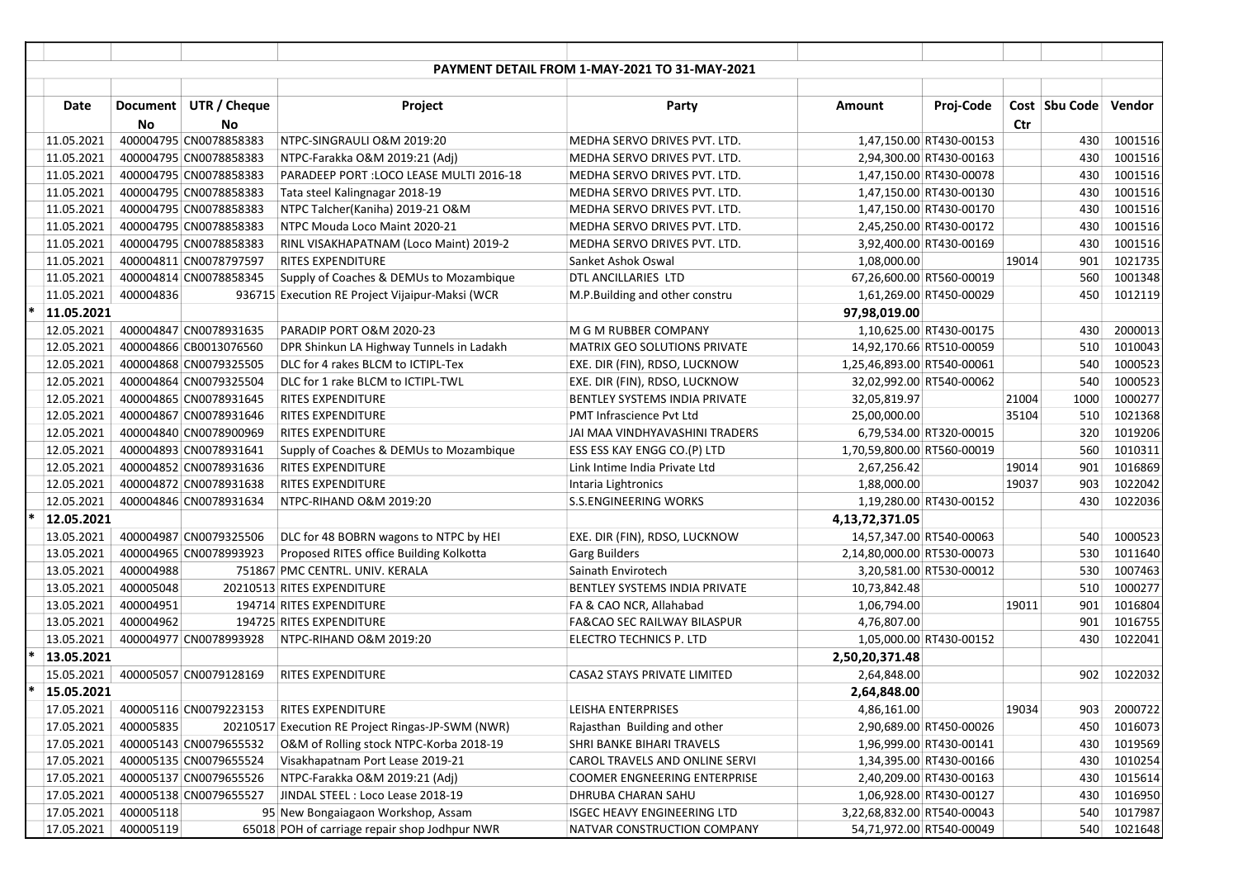|                |           |                        |                                                 | PAYMENT DETAIL FROM 1-MAY-2021 TO 31-MAY-2021 |                            |                          |       |               |         |
|----------------|-----------|------------------------|-------------------------------------------------|-----------------------------------------------|----------------------------|--------------------------|-------|---------------|---------|
|                |           |                        |                                                 |                                               |                            |                          |       |               |         |
| Date           |           | Document UTR / Cheque  | Project                                         | Party                                         | Amount                     | Proj-Code                |       | Cost Sbu Code | Vendor  |
|                | <b>No</b> | No                     |                                                 |                                               |                            |                          | Ctr   |               |         |
| 11.05.2021     |           | 400004795 CN0078858383 | NTPC-SINGRAULI O&M 2019:20                      | MEDHA SERVO DRIVES PVT. LTD.                  |                            | 1,47,150.00 RT430-00153  |       | 430           | 1001516 |
| 11.05.2021     |           | 400004795 CN0078858383 | NTPC-Farakka O&M 2019:21 (Adj)                  | MEDHA SERVO DRIVES PVT. LTD.                  |                            | 2,94,300.00 RT430-00163  |       | 430           | 1001516 |
| 11.05.2021     |           | 400004795 CN0078858383 | PARADEEP PORT : LOCO LEASE MULTI 2016-18        | MEDHA SERVO DRIVES PVT. LTD.                  |                            | 1,47,150.00 RT430-00078  |       | 430           | 1001516 |
| 11.05.2021     |           | 400004795 CN0078858383 | Tata steel Kalingnagar 2018-19                  | MEDHA SERVO DRIVES PVT. LTD.                  |                            | 1,47,150.00 RT430-00130  |       | 430           | 1001516 |
| 11.05.2021     |           | 400004795 CN0078858383 | NTPC Talcher(Kaniha) 2019-21 O&M                | MEDHA SERVO DRIVES PVT. LTD.                  |                            | 1,47,150.00 RT430-00170  |       | 430           | 1001516 |
| 11.05.2021     |           | 400004795 CN0078858383 | NTPC Mouda Loco Maint 2020-21                   | MEDHA SERVO DRIVES PVT. LTD.                  |                            | 2,45,250.00 RT430-00172  |       | 430           | 1001516 |
| 11.05.2021     |           | 400004795 CN0078858383 | RINL VISAKHAPATNAM (Loco Maint) 2019-2          | MEDHA SERVO DRIVES PVT. LTD.                  |                            | 3,92,400.00 RT430-00169  |       | 430           | 1001516 |
| 11.05.2021     |           | 400004811 CN0078797597 | <b>RITES EXPENDITURE</b>                        | Sanket Ashok Oswal                            | 1,08,000.00                |                          | 19014 | 901           | 1021735 |
| 11.05.2021     |           | 400004814 CN0078858345 | Supply of Coaches & DEMUs to Mozambique         | DTL ANCILLARIES LTD                           |                            | 67,26,600.00 RT560-00019 |       | 560           | 1001348 |
| 11.05.2021     | 400004836 |                        | 936715 Execution RE Project Vijaipur-Maksi (WCR | M.P.Building and other constru                |                            | 1,61,269.00 RT450-00029  |       | 450           | 1012119 |
| 11.05.2021     |           |                        |                                                 |                                               | 97,98,019.00               |                          |       |               |         |
| 12.05.2021     |           | 400004847 CN0078931635 | PARADIP PORT O&M 2020-23                        | M G M RUBBER COMPANY                          |                            | 1,10,625.00 RT430-00175  |       | 430           | 2000013 |
| 12.05.2021     |           | 400004866 CB0013076560 | DPR Shinkun LA Highway Tunnels in Ladakh        | MATRIX GEO SOLUTIONS PRIVATE                  |                            | 14,92,170.66 RT510-00059 |       | 510           | 1010043 |
| 12.05.2021     |           | 400004868 CN0079325505 | DLC for 4 rakes BLCM to ICTIPL-Tex              | EXE. DIR (FIN), RDSO, LUCKNOW                 | 1,25,46,893.00 RT540-00061 |                          |       | 540           | 1000523 |
| 12.05.2021     |           | 400004864 CN0079325504 | DLC for 1 rake BLCM to ICTIPL-TWL               | EXE. DIR (FIN), RDSO, LUCKNOW                 |                            | 32,02,992.00 RT540-00062 |       | 540           | 1000523 |
| 12.05.2021     |           | 400004865 CN0078931645 | <b>RITES EXPENDITURE</b>                        | BENTLEY SYSTEMS INDIA PRIVATE                 | 32,05,819.97               |                          | 21004 | 1000          | 1000277 |
| 12.05.2021     |           | 400004867 CN0078931646 | <b>RITES EXPENDITURE</b>                        | <b>PMT Infrascience Pvt Ltd</b>               | 25,00,000.00               |                          | 35104 | 510           | 1021368 |
| 12.05.2021     |           | 400004840 CN0078900969 | <b>RITES EXPENDITURE</b>                        | JAI MAA VINDHYAVASHINI TRADERS                |                            | 6,79,534.00 RT320-00015  |       | 320           | 1019206 |
| 12.05.2021     |           | 400004893 CN0078931641 | Supply of Coaches & DEMUs to Mozambique         | ESS ESS KAY ENGG CO.(P) LTD                   | 1,70,59,800.00 RT560-00019 |                          |       | 560           | 1010311 |
| 12.05.2021     |           | 400004852 CN0078931636 | <b>RITES EXPENDITURE</b>                        | Link Intime India Private Ltd                 | 2,67,256.42                |                          | 19014 | 901           | 1016869 |
| 12.05.2021     |           | 400004872 CN0078931638 | <b>RITES EXPENDITURE</b>                        | Intaria Lightronics                           | 1,88,000.00                |                          | 19037 | 903           | 1022042 |
| 12.05.2021     |           | 400004846 CN0078931634 | NTPC-RIHAND O&M 2019:20                         | <b>S.S.ENGINEERING WORKS</b>                  |                            | 1,19,280.00 RT430-00152  |       | 430           | 1022036 |
| 12.05.2021     |           |                        |                                                 |                                               | 4,13,72,371.05             |                          |       |               |         |
| 13.05.2021     |           | 400004987 CN0079325506 | DLC for 48 BOBRN wagons to NTPC by HEI          | EXE. DIR (FIN), RDSO, LUCKNOW                 |                            | 14,57,347.00 RT540-00063 |       | 540           | 1000523 |
| 13.05.2021     |           | 400004965 CN0078993923 | Proposed RITES office Building Kolkotta         | <b>Garg Builders</b>                          | 2,14,80,000.00 RT530-00073 |                          |       | 530           | 1011640 |
| 13.05.2021     | 400004988 |                        | 751867 PMC CENTRL. UNIV. KERALA                 | Sainath Envirotech                            |                            | 3,20,581.00 RT530-00012  |       | 530           | 1007463 |
| 13.05.2021     | 400005048 |                        | 20210513 RITES EXPENDITURE                      | BENTLEY SYSTEMS INDIA PRIVATE                 | 10,73,842.48               |                          |       | 510           | 1000277 |
| 13.05.2021     | 400004951 |                        | 194714 RITES EXPENDITURE                        | FA & CAO NCR, Allahabad                       | 1,06,794.00                |                          | 19011 | 901           | 1016804 |
| 13.05.2021     | 400004962 |                        | 194725 RITES EXPENDITURE                        | <b>FA&amp;CAO SEC RAILWAY BILASPUR</b>        | 4,76,807.00                |                          |       | 901           | 1016755 |
| 13.05.2021     |           | 400004977 CN0078993928 | NTPC-RIHAND O&M 2019:20                         | <b>ELECTRO TECHNICS P. LTD</b>                |                            | 1,05,000.00 RT430-00152  |       | 430           | 1022041 |
| 13.05.2021     |           |                        |                                                 |                                               | 2,50,20,371.48             |                          |       |               |         |
| 15.05.2021     |           | 400005057 CN0079128169 | <b>RITES EXPENDITURE</b>                        | CASA2 STAYS PRIVATE LIMITED                   | 2,64,848.00                |                          |       | 902           | 1022032 |
| $*$ 15.05.2021 |           |                        |                                                 |                                               | 2,64,848.00                |                          |       |               |         |
| 17.05.2021     |           | 400005116 CN0079223153 | RITES EXPENDITURE                               | LEISHA ENTERPRISES                            | 4,86,161.00                |                          | 19034 | 903           | 2000722 |
| 17.05.2021     | 400005835 | 20210517               | <b>Execution RE Project Ringas-JP-SWM (NWR)</b> | Rajasthan Building and other                  |                            | 2,90,689.00 RT450-00026  |       | 450           | 1016073 |
| 17.05.2021     |           | 400005143 CN0079655532 | O&M of Rolling stock NTPC-Korba 2018-19         | SHRI BANKE BIHARI TRAVELS                     |                            | 1,96,999.00 RT430-00141  |       | 430           | 1019569 |
| 17.05.2021     |           | 400005135 CN0079655524 | Visakhapatnam Port Lease 2019-21                | CAROL TRAVELS AND ONLINE SERVI                |                            | 1,34,395.00 RT430-00166  |       | 430           | 1010254 |
| 17.05.2021     |           | 400005137 CN0079655526 | NTPC-Farakka O&M 2019:21 (Adj)                  | COOMER ENGNEERING ENTERPRISE                  |                            | 2,40,209.00 RT430-00163  |       | 430           | 1015614 |
| 17.05.2021     |           | 400005138 CN0079655527 | JINDAL STEEL : Loco Lease 2018-19               | DHRUBA CHARAN SAHU                            |                            | 1,06,928.00 RT430-00127  |       | 430           | 1016950 |
| 17.05.2021     | 400005118 |                        | 95 New Bongaiagaon Workshop, Assam              | <b>ISGEC HEAVY ENGINEERING LTD</b>            | 3,22,68,832.00 RT540-00043 |                          |       | 540           | 1017987 |
| 17.05.2021     | 400005119 |                        | 65018 POH of carriage repair shop Jodhpur NWR   | NATVAR CONSTRUCTION COMPANY                   |                            | 54,71,972.00 RT540-00049 |       | 540           | 1021648 |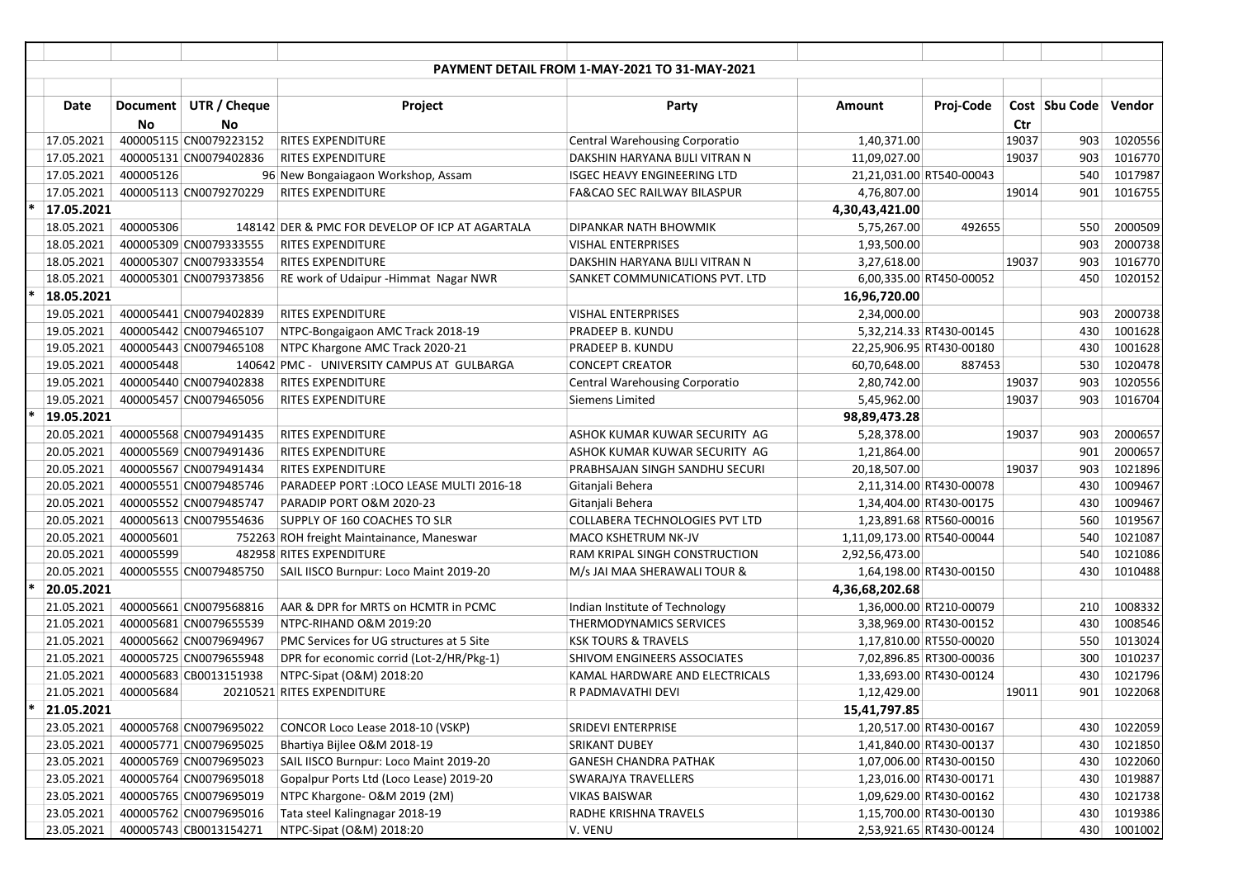| <b>PAYMENT DETAIL FROM 1-MAY-2021 TO 31-MAY-2021</b> |           |                        |                                                 |                                       |                            |                          |       |                 |         |  |
|------------------------------------------------------|-----------|------------------------|-------------------------------------------------|---------------------------------------|----------------------------|--------------------------|-------|-----------------|---------|--|
|                                                      |           |                        |                                                 |                                       |                            |                          |       |                 |         |  |
| <b>Date</b>                                          |           | Document UTR / Cheque  | Project                                         | Party                                 | Amount                     | Proj-Code                |       | Cost   Sbu Code | Vendor  |  |
|                                                      | No        | No                     |                                                 |                                       |                            |                          | Ctr   |                 |         |  |
| 17.05.2021                                           |           | 400005115 CN0079223152 | <b>RITES EXPENDITURE</b>                        | <b>Central Warehousing Corporatio</b> | 1,40,371.00                |                          | 19037 | 903             | 1020556 |  |
| 17.05.2021                                           |           | 400005131 CN0079402836 | <b>RITES EXPENDITURE</b>                        | DAKSHIN HARYANA BIJLI VITRAN N        | 11,09,027.00               |                          | 19037 | 903             | 1016770 |  |
| 17.05.2021                                           | 400005126 |                        | 96 New Bongaiagaon Workshop, Assam              | <b>ISGEC HEAVY ENGINEERING LTD</b>    |                            | 21,21,031.00 RT540-00043 |       | 540             | 1017987 |  |
| 17.05.2021                                           |           | 400005113 CN0079270229 | <b>RITES EXPENDITURE</b>                        | FA&CAO SEC RAILWAY BILASPUR           | 4,76,807.00                |                          | 19014 | 901             | 1016755 |  |
| 17.05.2021                                           |           |                        |                                                 |                                       | 4,30,43,421.00             |                          |       |                 |         |  |
| 18.05.2021                                           | 400005306 |                        | 148142 DER & PMC FOR DEVELOP OF ICP AT AGARTALA | DIPANKAR NATH BHOWMIK                 | 5,75,267.00                | 492655                   |       | 550             | 2000509 |  |
| 18.05.2021                                           |           | 400005309 CN0079333555 | <b>RITES EXPENDITURE</b>                        | <b>VISHAL ENTERPRISES</b>             | 1,93,500.00                |                          |       | 903             | 2000738 |  |
| 18.05.2021                                           |           | 400005307 CN0079333554 | <b>RITES EXPENDITURE</b>                        | DAKSHIN HARYANA BIJLI VITRAN N        | 3,27,618.00                |                          | 19037 | 903             | 1016770 |  |
| 18.05.2021                                           |           | 400005301 CN0079373856 | RE work of Udaipur - Himmat Nagar NWR           | SANKET COMMUNICATIONS PVT. LTD        |                            | 6,00,335.00 RT450-00052  |       | 450             | 1020152 |  |
| 18.05.2021                                           |           |                        |                                                 |                                       | 16,96,720.00               |                          |       |                 |         |  |
| 19.05.2021                                           |           | 400005441 CN0079402839 | <b>RITES EXPENDITURE</b>                        | <b>VISHAL ENTERPRISES</b>             | 2,34,000.00                |                          |       | 903             | 2000738 |  |
| 19.05.2021                                           |           | 400005442 CN0079465107 | NTPC-Bongaigaon AMC Track 2018-19               | <b>PRADEEP B. KUNDU</b>               |                            | 5,32,214.33 RT430-00145  |       | 430             | 1001628 |  |
| 19.05.2021                                           |           | 400005443 CN0079465108 | NTPC Khargone AMC Track 2020-21                 | <b>PRADEEP B. KUNDU</b>               |                            | 22,25,906.95 RT430-00180 |       | 430             | 1001628 |  |
| 19.05.2021                                           | 400005448 |                        | 140642 PMC - UNIVERSITY CAMPUS AT GULBARGA      | <b>CONCEPT CREATOR</b>                | 60,70,648.00               | 887453                   |       | 530             | 1020478 |  |
| 19.05.2021                                           |           | 400005440 CN0079402838 | <b>RITES EXPENDITURE</b>                        | <b>Central Warehousing Corporatio</b> | 2,80,742.00                |                          | 19037 | 903             | 1020556 |  |
| 19.05.2021                                           |           | 400005457 CN0079465056 | <b>RITES EXPENDITURE</b>                        | Siemens Limited                       | 5,45,962.00                |                          | 19037 | 903             | 1016704 |  |
| 19.05.2021                                           |           |                        |                                                 |                                       | 98,89,473.28               |                          |       |                 |         |  |
| 20.05.2021                                           |           | 400005568 CN0079491435 | <b>RITES EXPENDITURE</b>                        | ASHOK KUMAR KUWAR SECURITY AG         | 5,28,378.00                |                          | 19037 | 903             | 2000657 |  |
| 20.05.2021                                           |           | 400005569 CN0079491436 | <b>RITES EXPENDITURE</b>                        | ASHOK KUMAR KUWAR SECURITY AG         | 1,21,864.00                |                          |       | 901             | 2000657 |  |
| 20.05.2021                                           |           | 400005567 CN0079491434 | <b>RITES EXPENDITURE</b>                        | PRABHSAJAN SINGH SANDHU SECURI        | 20,18,507.00               |                          | 19037 | 903             | 1021896 |  |
| 20.05.2021                                           |           | 400005551 CN0079485746 | PARADEEP PORT : LOCO LEASE MULTI 2016-18        | Gitanjali Behera                      |                            | 2,11,314.00 RT430-00078  |       | 430             | 1009467 |  |
| 20.05.2021                                           |           | 400005552 CN0079485747 | PARADIP PORT O&M 2020-23                        | Gitanjali Behera                      |                            | 1,34,404.00 RT430-00175  |       | 430             | 1009467 |  |
| 20.05.2021                                           |           | 400005613 CN0079554636 | SUPPLY OF 160 COACHES TO SLR                    | COLLABERA TECHNOLOGIES PVT LTD        |                            | 1,23,891.68 RT560-00016  |       | 560             | 1019567 |  |
| 20.05.2021                                           | 400005601 |                        | 752263 ROH freight Maintainance, Maneswar       | <b>MACO KSHETRUM NK-JV</b>            | 1,11,09,173.00 RT540-00044 |                          |       | 540             | 1021087 |  |
| 20.05.2021                                           | 400005599 |                        | 482958 RITES EXPENDITURE                        | RAM KRIPAL SINGH CONSTRUCTION         | 2,92,56,473.00             |                          |       | 540             | 1021086 |  |
| 20.05.2021                                           |           | 400005555 CN0079485750 | SAIL IISCO Burnpur: Loco Maint 2019-20          | M/s JAI MAA SHERAWALI TOUR &          |                            | 1,64,198.00 RT430-00150  |       | 430             | 1010488 |  |
| 20.05.2021                                           |           |                        |                                                 |                                       | 4,36,68,202.68             |                          |       |                 |         |  |
| 21.05.2021                                           |           | 400005661 CN0079568816 | AAR & DPR for MRTS on HCMTR in PCMC             | Indian Institute of Technology        |                            | 1,36,000.00 RT210-00079  |       | 210             | 1008332 |  |
| 21.05.2021                                           |           | 400005681 CN0079655539 | NTPC-RIHAND O&M 2019:20                         | <b>THERMODYNAMICS SERVICES</b>        |                            | 3,38,969.00 RT430-00152  |       | 430             | 1008546 |  |
| 21.05.2021                                           |           | 400005662 CN0079694967 | PMC Services for UG structures at 5 Site        | <b>KSK TOURS &amp; TRAVELS</b>        |                            | 1,17,810.00 RT550-00020  |       | 550             | 1013024 |  |
| 21.05.2021                                           |           | 400005725 CN0079655948 | DPR for economic corrid (Lot-2/HR/Pkg-1)        | SHIVOM ENGINEERS ASSOCIATES           |                            | 7,02,896.85 RT300-00036  |       | 300             | 1010237 |  |
| 21.05.2021                                           |           | 400005683 CB0013151938 | NTPC-Sipat (O&M) 2018:20                        | KAMAL HARDWARE AND ELECTRICALS        |                            | 1,33,693.00 RT430-00124  |       | 430             | 1021796 |  |
| 21.05.2021                                           | 400005684 |                        | 20210521 RITES EXPENDITURE                      | R PADMAVATHI DEVI                     | 1,12,429.00                |                          | 19011 | 901             | 1022068 |  |
| 21.05.2021                                           |           |                        |                                                 |                                       | 15,41,797.85               |                          |       |                 |         |  |
| 23.05.2021                                           |           | 400005768 CN0079695022 | CONCOR Loco Lease 2018-10 (VSKP)                | <b>SRIDEVI ENTERPRISE</b>             |                            | 1,20,517.00 RT430-00167  |       | 430             | 1022059 |  |
| 23.05.2021                                           |           | 400005771 CN0079695025 | Bhartiya Bijlee O&M 2018-19                     | <b>SRIKANT DUBEY</b>                  |                            | 1,41,840.00 RT430-00137  |       | 430             | 1021850 |  |
| 23.05.2021                                           |           | 400005769 CN0079695023 | SAIL IISCO Burnpur: Loco Maint 2019-20          | <b>GANESH CHANDRA PATHAK</b>          |                            | 1,07,006.00 RT430-00150  |       | 430             | 1022060 |  |
| 23.05.2021                                           |           | 400005764 CN0079695018 | Gopalpur Ports Ltd (Loco Lease) 2019-20         | <b>SWARAJYA TRAVELLERS</b>            |                            | 1,23,016.00 RT430-00171  |       | 430             | 1019887 |  |
| 23.05.2021                                           |           | 400005765 CN0079695019 | NTPC Khargone- O&M 2019 (2M)                    | <b>VIKAS BAISWAR</b>                  |                            | 1,09,629.00 RT430-00162  |       | 430             | 1021738 |  |
| 23.05.2021                                           |           | 400005762 CN0079695016 | Tata steel Kalingnagar 2018-19                  | RADHE KRISHNA TRAVELS                 |                            | 1,15,700.00 RT430-00130  |       | 430             | 1019386 |  |
| 23.05.2021                                           |           | 400005743 CB0013154271 | NTPC-Sipat (O&M) 2018:20                        | V. VENU                               |                            | 2,53,921.65 RT430-00124  |       | 430             | 1001002 |  |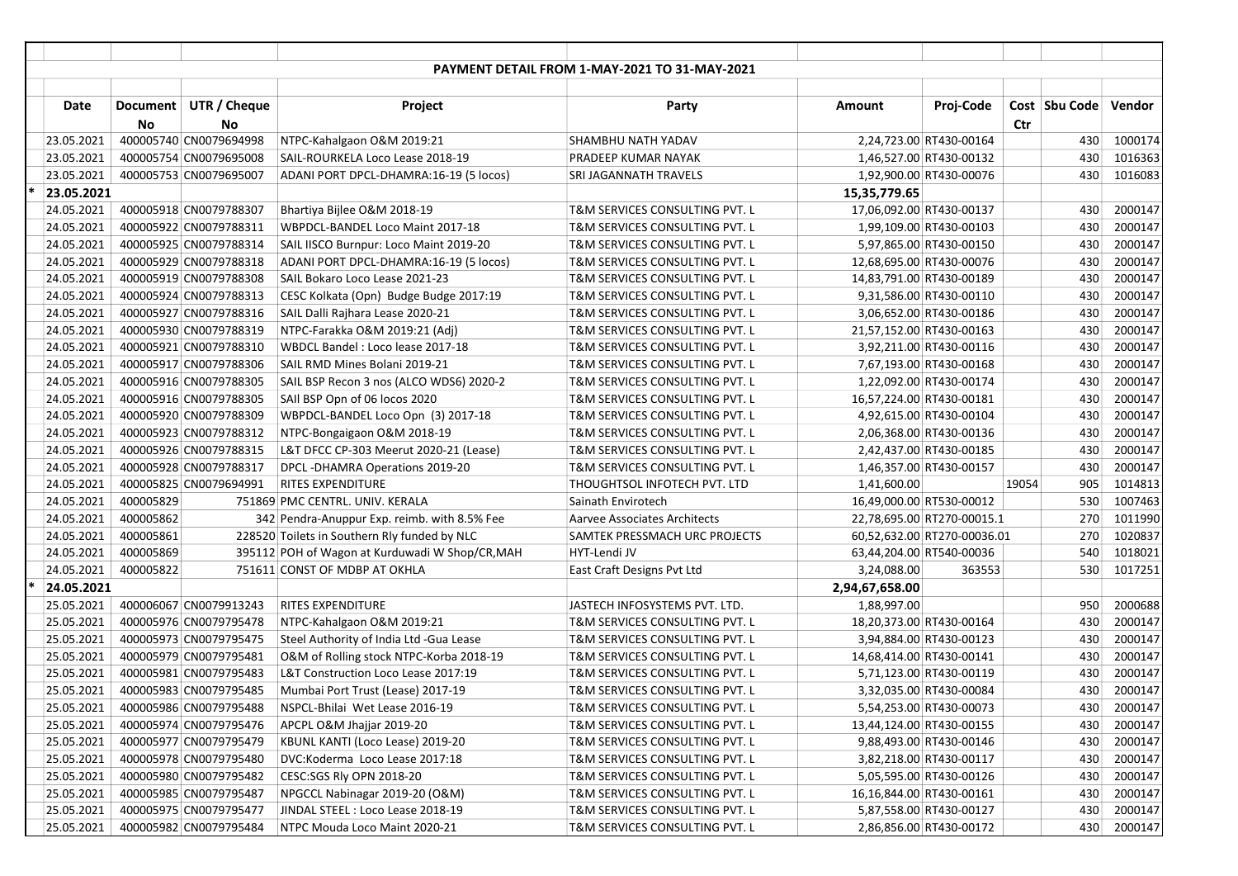| <b>PAYMENT DETAIL FROM 1-MAY-2021 TO 31-MAY-2021</b> |           |                        |                                                 |                                      |                |                             |       |                 |         |  |  |
|------------------------------------------------------|-----------|------------------------|-------------------------------------------------|--------------------------------------|----------------|-----------------------------|-------|-----------------|---------|--|--|
|                                                      |           |                        |                                                 |                                      |                |                             |       |                 |         |  |  |
| Date                                                 |           | Document UTR / Cheque  | Project                                         | Party                                | Amount         | Proj-Code                   |       | Cost   Sbu Code | Vendor  |  |  |
|                                                      | No        | No                     |                                                 |                                      |                |                             | Ctr   |                 |         |  |  |
| 23.05.2021                                           |           | 400005740 CN0079694998 | NTPC-Kahalgaon O&M 2019:21                      | SHAMBHU NATH YADAV                   |                | 2,24,723.00 RT430-00164     |       | 430             | 1000174 |  |  |
| 23.05.2021                                           |           | 400005754 CN0079695008 | SAIL-ROURKELA Loco Lease 2018-19                | PRADEEP KUMAR NAYAK                  |                | 1,46,527.00 RT430-00132     |       | 430             | 1016363 |  |  |
| 23.05.2021                                           |           | 400005753 CN0079695007 | ADANI PORT DPCL-DHAMRA:16-19 (5 locos)          | SRI JAGANNATH TRAVELS                |                | 1,92,900.00 RT430-00076     |       | 430             | 1016083 |  |  |
| 23.05.2021                                           |           |                        |                                                 |                                      | 15,35,779.65   |                             |       |                 |         |  |  |
| 24.05.2021                                           |           | 400005918 CN0079788307 | Bhartiya Bijlee O&M 2018-19                     | T&M SERVICES CONSULTING PVT. L       |                | 17,06,092.00 RT430-00137    |       | 430             | 2000147 |  |  |
| 24.05.2021                                           |           | 400005922 CN0079788311 | WBPDCL-BANDEL Loco Maint 2017-18                | T&M SERVICES CONSULTING PVT. L       |                | 1,99,109.00 RT430-00103     |       | 430             | 2000147 |  |  |
| 24.05.2021                                           |           | 400005925 CN0079788314 | SAIL IISCO Burnpur: Loco Maint 2019-20          | T&M SERVICES CONSULTING PVT. L       |                | 5,97,865.00 RT430-00150     |       | 430             | 2000147 |  |  |
| 24.05.2021                                           |           | 400005929 CN0079788318 | ADANI PORT DPCL-DHAMRA:16-19 (5 locos)          | T&M SERVICES CONSULTING PVT. L       |                | 12,68,695.00 RT430-00076    |       | 430             | 2000147 |  |  |
| 24.05.2021                                           |           | 400005919 CN0079788308 | SAIL Bokaro Loco Lease 2021-23                  | T&M SERVICES CONSULTING PVT. L       |                | 14,83,791.00 RT430-00189    |       | 430             | 2000147 |  |  |
| 24.05.2021                                           |           | 400005924 CN0079788313 | CESC Kolkata (Opn) Budge Budge 2017:19          | T&M SERVICES CONSULTING PVT. L       |                | 9,31,586.00 RT430-00110     |       | 430             | 2000147 |  |  |
| 24.05.2021                                           |           | 400005927 CN0079788316 | SAIL Dalli Rajhara Lease 2020-21                | T&M SERVICES CONSULTING PVT. L       |                | 3,06,652.00 RT430-00186     |       | 430             | 2000147 |  |  |
| 24.05.2021                                           |           | 400005930 CN0079788319 | NTPC-Farakka O&M 2019:21 (Adj)                  | T&M SERVICES CONSULTING PVT. L       |                | 21,57,152.00 RT430-00163    |       | 430             | 2000147 |  |  |
| 24.05.2021                                           |           | 400005921 CN0079788310 | WBDCL Bandel: Loco lease 2017-18                | T&M SERVICES CONSULTING PVT. L       |                | 3,92,211.00 RT430-00116     |       | 430             | 2000147 |  |  |
| 24.05.2021                                           |           | 400005917 CN0079788306 | SAIL RMD Mines Bolani 2019-21                   | T&M SERVICES CONSULTING PVT. L       |                | 7,67,193.00 RT430-00168     |       | 430             | 2000147 |  |  |
| 24.05.2021                                           |           | 400005916 CN0079788305 | SAIL BSP Recon 3 nos (ALCO WDS6) 2020-2         | T&M SERVICES CONSULTING PVT. L       |                | 1,22,092.00 RT430-00174     |       | 430             | 2000147 |  |  |
| 24.05.2021                                           |           | 400005916 CN0079788305 | SAII BSP Opn of 06 locos 2020                   | T&M SERVICES CONSULTING PVT. L       |                | 16,57,224.00 RT430-00181    |       | 430             | 2000147 |  |  |
| 24.05.2021                                           |           | 400005920 CN0079788309 | WBPDCL-BANDEL Loco Opn (3) 2017-18              | T&M SERVICES CONSULTING PVT. L       |                | 4,92,615.00 RT430-00104     |       | 430             | 2000147 |  |  |
| 24.05.2021                                           |           | 400005923 CN0079788312 | NTPC-Bongaigaon O&M 2018-19                     | T&M SERVICES CONSULTING PVT. L       |                | 2,06,368.00 RT430-00136     |       | 430             | 2000147 |  |  |
| 24.05.2021                                           |           | 400005926 CN0079788315 | L&T DFCC CP-303 Meerut 2020-21 (Lease)          | T&M SERVICES CONSULTING PVT. L       |                | 2,42,437.00 RT430-00185     |       | 430             | 2000147 |  |  |
| 24.05.2021                                           |           | 400005928 CN0079788317 | DPCL-DHAMRA Operations 2019-20                  | T&M SERVICES CONSULTING PVT. L       |                | 1,46,357.00 RT430-00157     |       | 430             | 2000147 |  |  |
| 24.05.2021                                           |           | 400005825 CN0079694991 | <b>RITES EXPENDITURE</b>                        | THOUGHTSOL INFOTECH PVT. LTD         | 1,41,600.00    |                             | 19054 | 905             | 1014813 |  |  |
| 24.05.2021                                           | 400005829 |                        | 751869 PMC CENTRL. UNIV. KERALA                 | Sainath Envirotech                   |                | 16,49,000.00 RT530-00012    |       | 530             | 1007463 |  |  |
| 24.05.2021                                           | 400005862 |                        | 342 Pendra-Anuppur Exp. reimb. with 8.5% Fee    | Aarvee Associates Architects         |                | 22,78,695.00 RT270-00015.1  |       | 270             | 1011990 |  |  |
| 24.05.2021                                           | 400005861 |                        | 228520 Toilets in Southern Rly funded by NLC    | <b>SAMTEK PRESSMACH URC PROJECTS</b> |                | 60,52,632.00 RT270-00036.01 |       | 270             | 1020837 |  |  |
| 24.05.2021                                           | 400005869 |                        | 395112 POH of Wagon at Kurduwadi W Shop/CR, MAH | HYT-Lendi JV                         |                | 63,44,204.00 RT540-00036    |       | 540             | 1018021 |  |  |
| 24.05.2021                                           | 400005822 |                        | 751611 CONST OF MDBP AT OKHLA                   | East Craft Designs Pvt Ltd           | 3,24,088.00    | 363553                      |       | 530             | 1017251 |  |  |
| 24.05.2021                                           |           |                        |                                                 |                                      | 2,94,67,658.00 |                             |       |                 |         |  |  |
| 25.05.2021                                           |           | 400006067 CN0079913243 | <b>RITES EXPENDITURE</b>                        | JASTECH INFOSYSTEMS PVT. LTD.        | 1,88,997.00    |                             |       | 950             | 2000688 |  |  |
| 25.05.2021                                           |           | 400005976 CN0079795478 | NTPC-Kahalgaon O&M 2019:21                      | T&M SERVICES CONSULTING PVT. L       |                | 18,20,373.00 RT430-00164    |       | 430             | 2000147 |  |  |
| 25.05.2021                                           |           | 400005973 CN0079795475 | Steel Authority of India Ltd -Gua Lease         | T&M SERVICES CONSULTING PVT. L       |                | 3,94,884.00 RT430-00123     |       | 430             | 2000147 |  |  |
| 25.05.2021                                           |           | 400005979 CN0079795481 | O&M of Rolling stock NTPC-Korba 2018-19         | T&M SERVICES CONSULTING PVT. L       |                | 14,68,414.00 RT430-00141    |       | 430             | 2000147 |  |  |
| 25.05.2021                                           |           | 400005981 CN0079795483 | L&T Construction Loco Lease 2017:19             | T&M SERVICES CONSULTING PVT. L       |                | 5,71,123.00 RT430-00119     |       | 430             | 2000147 |  |  |
| 25.05.2021                                           |           | 400005983 CN0079795485 | Mumbai Port Trust (Lease) 2017-19               | T&M SERVICES CONSULTING PVT. L       |                | 3,32,035.00 RT430-00084     |       | 430             | 2000147 |  |  |
| 25.05.2021                                           |           | 400005986 CN0079795488 | NSPCL-Bhilai Wet Lease 2016-19                  | T&M SERVICES CONSULTING PVT. L       |                | 5,54,253.00 RT430-00073     |       | 430             | 2000147 |  |  |
| 25.05.2021                                           |           | 400005974 CN0079795476 | APCPL O&M Jhajjar 2019-20                       | T&M SERVICES CONSULTING PVT. L       |                | 13,44,124.00 RT430-00155    |       | 430             | 2000147 |  |  |
| 25.05.2021                                           |           | 400005977 CN0079795479 | KBUNL KANTI (Loco Lease) 2019-20                | T&M SERVICES CONSULTING PVT. L       |                | 9,88,493.00 RT430-00146     |       | 430             | 2000147 |  |  |
| 25.05.2021                                           |           | 400005978 CN0079795480 | DVC:Koderma Loco Lease 2017:18                  | T&M SERVICES CONSULTING PVT. L       |                | 3,82,218.00 RT430-00117     |       | 430             | 2000147 |  |  |
| 25.05.2021                                           |           | 400005980 CN0079795482 | CESC:SGS Rly OPN 2018-20                        | T&M SERVICES CONSULTING PVT. L       |                | 5,05,595.00 RT430-00126     |       | 430             | 2000147 |  |  |
| 25.05.2021                                           |           | 400005985 CN0079795487 | NPGCCL Nabinagar 2019-20 (O&M)                  | T&M SERVICES CONSULTING PVT. L       |                | 16,16,844.00 RT430-00161    |       | 430             | 2000147 |  |  |
| 25.05.2021                                           |           | 400005975 CN0079795477 | JINDAL STEEL : Loco Lease 2018-19               | T&M SERVICES CONSULTING PVT. L       |                | 5,87,558.00 RT430-00127     |       | 430             | 2000147 |  |  |
| 25.05.2021                                           |           | 400005982 CN0079795484 | NTPC Mouda Loco Maint 2020-21                   | T&M SERVICES CONSULTING PVT. L       |                | 2,86,856.00 RT430-00172     |       | 430             | 2000147 |  |  |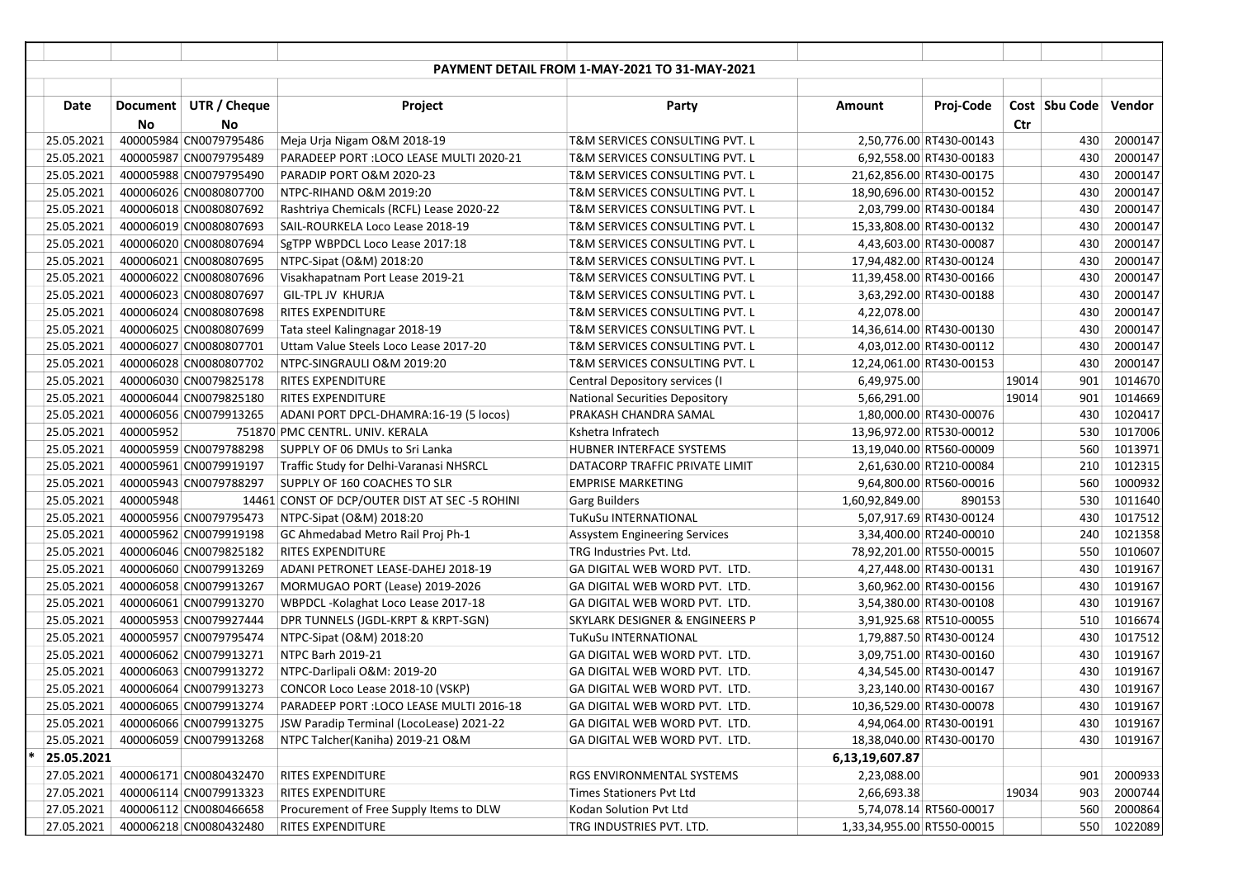|            |           |                        |                                                | PAYMENT DETAIL FROM 1-MAY-2021 TO 31-MAY-2021 |                            |                          |               |         |
|------------|-----------|------------------------|------------------------------------------------|-----------------------------------------------|----------------------------|--------------------------|---------------|---------|
|            |           |                        |                                                |                                               |                            |                          |               |         |
| Date       |           | Document UTR / Cheque  | Project                                        | Party                                         | Amount                     | Proj-Code                | Cost Sbu Code | Vendor  |
|            | <b>No</b> | No                     |                                                |                                               |                            |                          | Ctr           |         |
| 25.05.2021 |           | 400005984 CN0079795486 | Meja Urja Nigam O&M 2018-19                    | T&M SERVICES CONSULTING PVT. L                |                            | 2,50,776.00 RT430-00143  | 430           | 2000147 |
| 25.05.2021 |           | 400005987 CN0079795489 | PARADEEP PORT : LOCO LEASE MULTI 2020-21       | T&M SERVICES CONSULTING PVT. L                |                            | 6,92,558.00 RT430-00183  | 430           | 2000147 |
| 25.05.2021 |           | 400005988 CN0079795490 | PARADIP PORT O&M 2020-23                       | T&M SERVICES CONSULTING PVT. L                |                            | 21,62,856.00 RT430-00175 | 430           | 2000147 |
| 25.05.2021 |           | 400006026 CN0080807700 | NTPC-RIHAND O&M 2019:20                        | T&M SERVICES CONSULTING PVT. L                |                            | 18,90,696.00 RT430-00152 | 430           | 2000147 |
| 25.05.2021 |           | 400006018 CN0080807692 | Rashtriya Chemicals (RCFL) Lease 2020-22       | T&M SERVICES CONSULTING PVT. L                |                            | 2,03,799.00 RT430-00184  | 430           | 2000147 |
| 25.05.2021 |           | 400006019 CN0080807693 | SAIL-ROURKELA Loco Lease 2018-19               | T&M SERVICES CONSULTING PVT. L                |                            | 15,33,808.00 RT430-00132 | 430           | 2000147 |
| 25.05.2021 |           | 400006020 CN0080807694 | SgTPP WBPDCL Loco Lease 2017:18                | T&M SERVICES CONSULTING PVT. L                |                            | 4,43,603.00 RT430-00087  | 430           | 2000147 |
| 25.05.2021 |           | 400006021 CN0080807695 | NTPC-Sipat (O&M) 2018:20                       | T&M SERVICES CONSULTING PVT. L                |                            | 17,94,482.00 RT430-00124 | 430           | 2000147 |
| 25.05.2021 |           | 400006022 CN0080807696 | Visakhapatnam Port Lease 2019-21               | T&M SERVICES CONSULTING PVT. L                |                            | 11,39,458.00 RT430-00166 | 430           | 2000147 |
| 25.05.2021 |           | 400006023 CN0080807697 | GIL-TPL JV KHURJA                              | T&M SERVICES CONSULTING PVT. L                |                            | 3,63,292.00 RT430-00188  | 430           | 2000147 |
| 25.05.2021 |           | 400006024 CN0080807698 | <b>RITES EXPENDITURE</b>                       | T&M SERVICES CONSULTING PVT. L                | 4,22,078.00                |                          | 430           | 2000147 |
| 25.05.2021 |           | 400006025 CN0080807699 | Tata steel Kalingnagar 2018-19                 | T&M SERVICES CONSULTING PVT. L                |                            | 14,36,614.00 RT430-00130 | 430           | 2000147 |
| 25.05.2021 |           | 400006027 CN0080807701 | Uttam Value Steels Loco Lease 2017-20          | T&M SERVICES CONSULTING PVT. L                |                            | 4,03,012.00 RT430-00112  | 430           | 2000147 |
| 25.05.2021 |           | 400006028 CN0080807702 | NTPC-SINGRAULI O&M 2019:20                     | T&M SERVICES CONSULTING PVT. L                |                            | 12,24,061.00 RT430-00153 | 430           | 2000147 |
| 25.05.2021 |           | 400006030 CN0079825178 | <b>RITES EXPENDITURE</b>                       | Central Depository services (I                | 6,49,975.00                |                          | 19014<br>901  | 1014670 |
| 25.05.2021 |           | 400006044 CN0079825180 | <b>RITES EXPENDITURE</b>                       | <b>National Securities Depository</b>         | 5,66,291.00                |                          | 19014<br>901  | 1014669 |
| 25.05.2021 |           | 400006056 CN0079913265 | ADANI PORT DPCL-DHAMRA:16-19 (5 locos)         | PRAKASH CHANDRA SAMAL                         |                            | 1,80,000.00 RT430-00076  | 430           | 1020417 |
| 25.05.2021 | 400005952 |                        | 751870 PMC CENTRL. UNIV. KERALA                | Kshetra Infratech                             |                            | 13,96,972.00 RT530-00012 | 530           | 1017006 |
| 25.05.2021 |           | 400005959 CN0079788298 | SUPPLY OF 06 DMUs to Sri Lanka                 | HUBNER INTERFACE SYSTEMS                      |                            | 13,19,040.00 RT560-00009 | 560           | 1013971 |
| 25.05.2021 |           | 400005961 CN0079919197 | Traffic Study for Delhi-Varanasi NHSRCL        | DATACORP TRAFFIC PRIVATE LIMIT                |                            | 2,61,630.00 RT210-00084  | 210           | 1012315 |
| 25.05.2021 |           | 400005943 CN0079788297 | SUPPLY OF 160 COACHES TO SLR                   | <b>EMPRISE MARKETING</b>                      |                            | 9,64,800.00 RT560-00016  | 560           | 1000932 |
| 25.05.2021 | 400005948 |                        | 14461 CONST OF DCP/OUTER DIST AT SEC -5 ROHINI | <b>Garg Builders</b>                          | 1,60,92,849.00             | 890153                   | 530           | 1011640 |
| 25.05.2021 |           | 400005956 CN0079795473 | NTPC-Sipat (O&M) 2018:20                       | TuKuSu INTERNATIONAL                          |                            | 5,07,917.69 RT430-00124  | 430           | 1017512 |
| 25.05.2021 |           | 400005962 CN0079919198 | GC Ahmedabad Metro Rail Proj Ph-1              | <b>Assystem Engineering Services</b>          |                            | 3,34,400.00 RT240-00010  | 240           | 1021358 |
| 25.05.2021 |           | 400006046 CN0079825182 | <b>RITES EXPENDITURE</b>                       | TRG Industries Pvt. Ltd.                      |                            | 78,92,201.00 RT550-00015 | 550           | 1010607 |
| 25.05.2021 |           | 400006060 CN0079913269 | ADANI PETRONET LEASE-DAHEJ 2018-19             | GA DIGITAL WEB WORD PVT. LTD.                 |                            | 4,27,448.00 RT430-00131  | 430           | 1019167 |
| 25.05.2021 |           | 400006058 CN0079913267 | MORMUGAO PORT (Lease) 2019-2026                | GA DIGITAL WEB WORD PVT. LTD.                 |                            | 3,60,962.00 RT430-00156  | 430           | 1019167 |
| 25.05.2021 |           | 400006061 CN0079913270 | WBPDCL-Kolaghat Loco Lease 2017-18             | GA DIGITAL WEB WORD PVT. LTD.                 |                            | 3,54,380.00 RT430-00108  | 430           | 1019167 |
| 25.05.2021 |           | 400005953 CN0079927444 | DPR TUNNELS (JGDL-KRPT & KRPT-SGN)             | SKYLARK DESIGNER & ENGINEERS P                |                            | 3,91,925.68 RT510-00055  | 510           | 1016674 |
| 25.05.2021 |           | 400005957 CN0079795474 | NTPC-Sipat (O&M) 2018:20                       | TuKuSu INTERNATIONAL                          |                            | 1,79,887.50 RT430-00124  | 430           | 1017512 |
| 25.05.2021 |           | 400006062 CN0079913271 | NTPC Barh 2019-21                              | GA DIGITAL WEB WORD PVT. LTD.                 |                            | 3,09,751.00 RT430-00160  | 430           | 1019167 |
| 25.05.2021 |           | 400006063 CN0079913272 | NTPC-Darlipali O&M: 2019-20                    | GA DIGITAL WEB WORD PVT. LTD.                 |                            | 4,34,545.00 RT430-00147  | 430           | 1019167 |
| 25.05.2021 |           | 400006064 CN0079913273 | CONCOR Loco Lease 2018-10 (VSKP)               | GA DIGITAL WEB WORD PVT. LTD.                 |                            | 3,23,140.00 RT430-00167  | 430           | 1019167 |
| 25.05.2021 |           | 400006065 CN0079913274 | PARADEEP PORT :LOCO LEASE MULTI 2016-18        | GA DIGITAL WEB WORD PVT. LTD.                 |                            | 10,36,529.00 RT430-00078 | 430           | 1019167 |
| 25.05.2021 |           | 400006066 CN0079913275 | JSW Paradip Terminal (LocoLease) 2021-22       | GA DIGITAL WEB WORD PVT. LTD.                 |                            | 4,94,064.00 RT430-00191  | 430           | 1019167 |
| 25.05.2021 |           | 400006059 CN0079913268 | NTPC Talcher(Kaniha) 2019-21 O&M               | GA DIGITAL WEB WORD PVT. LTD.                 |                            | 18,38,040.00 RT430-00170 | 430           | 1019167 |
| 25.05.2021 |           |                        |                                                |                                               | 6,13,19,607.87             |                          |               |         |
| 27.05.2021 |           | 400006171 CN0080432470 | <b>RITES EXPENDITURE</b>                       | RGS ENVIRONMENTAL SYSTEMS                     | 2,23,088.00                |                          | 901           | 2000933 |
| 27.05.2021 |           | 400006114 CN0079913323 | <b>RITES EXPENDITURE</b>                       | Times Stationers Pvt Ltd                      | 2,66,693.38                |                          | 19034<br>903  | 2000744 |
| 27.05.2021 |           | 400006112 CN0080466658 | Procurement of Free Supply Items to DLW        | Kodan Solution Pvt Ltd                        |                            | 5,74,078.14 RT560-00017  | 560           | 2000864 |
| 27.05.2021 |           | 400006218 CN0080432480 | <b>RITES EXPENDITURE</b>                       | TRG INDUSTRIES PVT. LTD.                      | 1,33,34,955.00 RT550-00015 |                          | 550           | 1022089 |